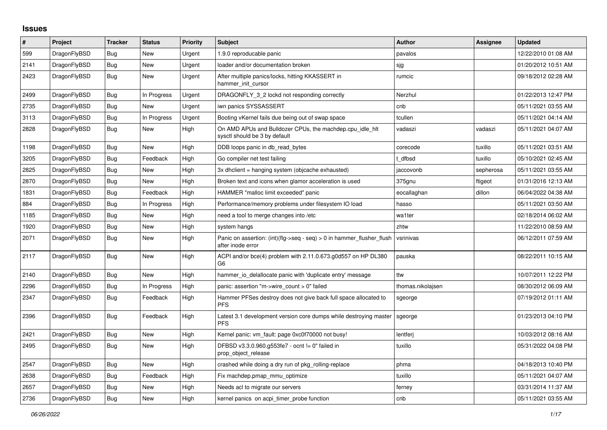## **Issues**

| $\vert$ # | Project      | <b>Tracker</b> | <b>Status</b> | Priority | <b>Subject</b>                                                                             | <b>Author</b>     | Assignee  | <b>Updated</b>      |
|-----------|--------------|----------------|---------------|----------|--------------------------------------------------------------------------------------------|-------------------|-----------|---------------------|
| 599       | DragonFlyBSD | Bug            | New           | Urgent   | 1.9.0 reproducable panic                                                                   | pavalos           |           | 12/22/2010 01:08 AM |
| 2141      | DragonFlyBSD | <b>Bug</b>     | New           | Urgent   | loader and/or documentation broken                                                         | sjg               |           | 01/20/2012 10:51 AM |
| 2423      | DragonFlyBSD | <b>Bug</b>     | New           | Urgent   | After multiple panics/locks, hitting KKASSERT in<br>hammer_init_cursor                     | rumcic            |           | 09/18/2012 02:28 AM |
| 2499      | DragonFlyBSD | Bug            | In Progress   | Urgent   | DRAGONFLY 3 2 lockd not responding correctly                                               | Nerzhul           |           | 01/22/2013 12:47 PM |
| 2735      | DragonFlyBSD | Bug            | New           | Urgent   | iwn panics SYSSASSERT                                                                      | cnb               |           | 05/11/2021 03:55 AM |
| 3113      | DragonFlyBSD | Bug            | In Progress   | Urgent   | Booting vKernel fails due being out of swap space                                          | tcullen           |           | 05/11/2021 04:14 AM |
| 2828      | DragonFlyBSD | <b>Bug</b>     | <b>New</b>    | High     | On AMD APUs and Bulldozer CPUs, the machdep.cpu idle hit<br>sysctl should be 3 by default  | vadaszi           | vadaszi   | 05/11/2021 04:07 AM |
| 1198      | DragonFlyBSD | <b>Bug</b>     | <b>New</b>    | High     | DDB loops panic in db read bytes                                                           | corecode          | tuxillo   | 05/11/2021 03:51 AM |
| 3205      | DragonFlyBSD | Bug            | Feedback      | High     | Go compiler net test failing                                                               | t dfbsd           | tuxillo   | 05/10/2021 02:45 AM |
| 2825      | DragonFlyBSD | <b>Bug</b>     | <b>New</b>    | High     | 3x dhclient = hanging system (objcache exhausted)                                          | jaccovonb         | sepherosa | 05/11/2021 03:55 AM |
| 2870      | DragonFlyBSD | Bug            | <b>New</b>    | High     | Broken text and icons when glamor acceleration is used                                     | 375gnu            | ftigeot   | 01/31/2016 12:13 AM |
| 1831      | DragonFlyBSD | Bug            | Feedback      | High     | HAMMER "malloc limit exceeded" panic                                                       | eocallaghan       | dillon    | 06/04/2022 04:38 AM |
| 884       | DragonFlyBSD | Bug            | In Progress   | High     | Performance/memory problems under filesystem IO load                                       | hasso             |           | 05/11/2021 03:50 AM |
| 1185      | DragonFlyBSD | Bug            | <b>New</b>    | High     | need a tool to merge changes into /etc                                                     | wa1ter            |           | 02/18/2014 06:02 AM |
| 1920      | DragonFlyBSD | Bug            | New           | High     | system hangs                                                                               | zhtw              |           | 11/22/2010 08:59 AM |
| 2071      | DragonFlyBSD | Bug            | New           | High     | Panic on assertion: (int)(flg->seq - seq) > 0 in hammer flusher flush<br>after inode error | vsrinivas         |           | 06/12/2011 07:59 AM |
| 2117      | DragonFlyBSD | Bug            | New           | High     | ACPI and/or bce(4) problem with 2.11.0.673.g0d557 on HP DL380<br>G6                        | pauska            |           | 08/22/2011 10:15 AM |
| 2140      | DragonFlyBSD | <b>Bug</b>     | <b>New</b>    | High     | hammer_io_delallocate panic with 'duplicate entry' message                                 | ttw               |           | 10/07/2011 12:22 PM |
| 2296      | DragonFlyBSD | Bug            | In Progress   | High     | panic: assertion "m->wire count > 0" failed                                                | thomas.nikolajsen |           | 08/30/2012 06:09 AM |
| 2347      | DragonFlyBSD | Bug            | Feedback      | High     | Hammer PFSes destroy does not give back full space allocated to<br><b>PFS</b>              | sgeorge           |           | 07/19/2012 01:11 AM |
| 2396      | DragonFlyBSD | Bug            | Feedback      | High     | Latest 3.1 development version core dumps while destroying master<br><b>PFS</b>            | sgeorge           |           | 01/23/2013 04:10 PM |
| 2421      | DragonFlyBSD | <b>Bug</b>     | <b>New</b>    | High     | Kernel panic: vm fault: page 0xc0f70000 not busy!                                          | lentferj          |           | 10/03/2012 08:16 AM |
| 2495      | DragonFlyBSD | Bug            | New           | High     | DFBSD v3.3.0.960.g553fe7 - ocnt != 0" failed in<br>prop_object_release                     | tuxillo           |           | 05/31/2022 04:08 PM |
| 2547      | DragonFlyBSD | Bug            | <b>New</b>    | High     | crashed while doing a dry run of pkg rolling-replace                                       | phma              |           | 04/18/2013 10:40 PM |
| 2638      | DragonFlyBSD | <b>Bug</b>     | Feedback      | High     | Fix machdep.pmap_mmu_optimize                                                              | tuxillo           |           | 05/11/2021 04:07 AM |
| 2657      | DragonFlyBSD | Bug            | <b>New</b>    | High     | Needs acl to migrate our servers                                                           | ferney            |           | 03/31/2014 11:37 AM |
| 2736      | DragonFlyBSD | <b>Bug</b>     | New           | High     | kernel panics on acpi timer probe function                                                 | cnb               |           | 05/11/2021 03:55 AM |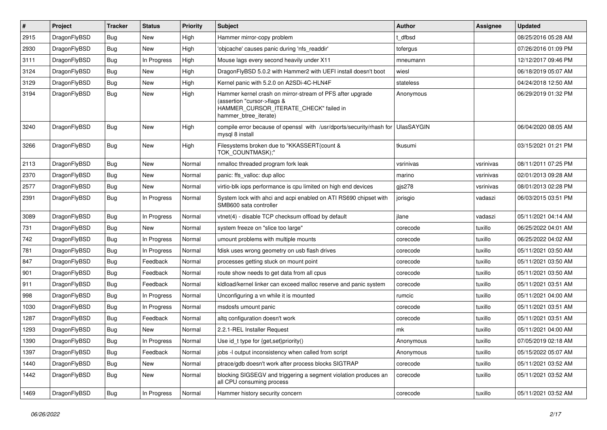| #    | Project      | <b>Tracker</b> | <b>Status</b> | <b>Priority</b> | <b>Subject</b>                                                                                                                                              | <b>Author</b> | Assignee  | <b>Updated</b>      |
|------|--------------|----------------|---------------|-----------------|-------------------------------------------------------------------------------------------------------------------------------------------------------------|---------------|-----------|---------------------|
| 2915 | DragonFlyBSD | <b>Bug</b>     | <b>New</b>    | High            | Hammer mirror-copy problem                                                                                                                                  | : dfbsd       |           | 08/25/2016 05:28 AM |
| 2930 | DragonFlyBSD | <b>Bug</b>     | New           | High            | 'objcache' causes panic during 'nfs readdir'                                                                                                                | tofergus      |           | 07/26/2016 01:09 PM |
| 3111 | DragonFlyBSD | <b>Bug</b>     | In Progress   | High            | Mouse lags every second heavily under X11                                                                                                                   | mneumann      |           | 12/12/2017 09:46 PM |
| 3124 | DragonFlyBSD | <b>Bug</b>     | <b>New</b>    | High            | DragonFlyBSD 5.0.2 with Hammer2 with UEFI install doesn't boot                                                                                              | wiesl         |           | 06/18/2019 05:07 AM |
| 3129 | DragonFlyBSD | <b>Bug</b>     | New           | High            | Kernel panic with 5.2.0 on A2SDi-4C-HLN4F                                                                                                                   | stateless     |           | 04/24/2018 12:50 AM |
| 3194 | DragonFlyBSD | Bug            | New           | High            | Hammer kernel crash on mirror-stream of PFS after upgrade<br>(assertion "cursor->flags &<br>HAMMER_CURSOR_ITERATE_CHECK" failed in<br>hammer_btree_iterate) | Anonymous     |           | 06/29/2019 01:32 PM |
| 3240 | DragonFlyBSD | Bug            | New           | High            | compile error because of openssl with /usr/dports/security/rhash for UlasSAYGIN<br>mysql 8 install                                                          |               |           | 06/04/2020 08:05 AM |
| 3266 | DragonFlyBSD | Bug            | New           | High            | Filesystems broken due to "KKASSERT(count &<br>TOK_COUNTMASK);"                                                                                             | tkusumi       |           | 03/15/2021 01:21 PM |
| 2113 | DragonFlyBSD | <b>Bug</b>     | New           | Normal          | nmalloc threaded program fork leak                                                                                                                          | vsrinivas     | vsrinivas | 08/11/2011 07:25 PM |
| 2370 | DragonFlyBSD | Bug            | New           | Normal          | panic: ffs valloc: dup alloc                                                                                                                                | marino        | vsrinivas | 02/01/2013 09:28 AM |
| 2577 | DragonFlyBSD | <b>Bug</b>     | New           | Normal          | virtio-blk iops performance is cpu limited on high end devices                                                                                              | gjs278        | vsrinivas | 08/01/2013 02:28 PM |
| 2391 | DragonFlyBSD | <b>Bug</b>     | In Progress   | Normal          | System lock with ahci and acpi enabled on ATI RS690 chipset with<br>SMB600 sata controller                                                                  | jorisgio      | vadaszi   | 06/03/2015 03:51 PM |
| 3089 | DragonFlyBSD | <b>Bug</b>     | In Progress   | Normal          | vtnet(4) - disable TCP checksum offload by default                                                                                                          | jlane         | vadaszi   | 05/11/2021 04:14 AM |
| 731  | DragonFlyBSD | <b>Bug</b>     | New           | Normal          | system freeze on "slice too large"                                                                                                                          | corecode      | tuxillo   | 06/25/2022 04:01 AM |
| 742  | DragonFlyBSD | <b>Bug</b>     | In Progress   | Normal          | umount problems with multiple mounts                                                                                                                        | corecode      | tuxillo   | 06/25/2022 04:02 AM |
| 781  | DragonFlyBSD | <b>Bug</b>     | In Progress   | Normal          | fdisk uses wrong geometry on usb flash drives                                                                                                               | corecode      | tuxillo   | 05/11/2021 03:50 AM |
| 847  | DragonFlyBSD | <b>Bug</b>     | Feedback      | Normal          | processes getting stuck on mount point                                                                                                                      | corecode      | tuxillo   | 05/11/2021 03:50 AM |
| 901  | DragonFlyBSD | <b>Bug</b>     | Feedback      | Normal          | route show needs to get data from all cpus                                                                                                                  | corecode      | tuxillo   | 05/11/2021 03:50 AM |
| 911  | DragonFlyBSD | <b>Bug</b>     | Feedback      | Normal          | kidload/kernel linker can exceed malloc reserve and panic system                                                                                            | corecode      | tuxillo   | 05/11/2021 03:51 AM |
| 998  | DragonFlyBSD | Bug            | In Progress   | Normal          | Unconfiguring a vn while it is mounted                                                                                                                      | rumcic        | tuxillo   | 05/11/2021 04:00 AM |
| 1030 | DragonFlyBSD | <b>Bug</b>     | In Progress   | Normal          | msdosfs umount panic                                                                                                                                        | corecode      | tuxillo   | 05/11/2021 03:51 AM |
| 1287 | DragonFlyBSD | Bug            | Feedback      | Normal          | altg configuration doesn't work                                                                                                                             | corecode      | tuxillo   | 05/11/2021 03:51 AM |
| 1293 | DragonFlyBSD | <b>Bug</b>     | <b>New</b>    | Normal          | 2.2.1-REL Installer Request                                                                                                                                 | mk            | tuxillo   | 05/11/2021 04:00 AM |
| 1390 | DragonFlyBSD | <b>Bug</b>     | In Progress   | Normal          | Use id_t type for $\{get, set\}$ priority()                                                                                                                 | Anonymous     | tuxillo   | 07/05/2019 02:18 AM |
| 1397 | DragonFlyBSD | Bug            | Feedback      | Normal          | jobs -I output inconsistency when called from script                                                                                                        | Anonymous     | tuxillo   | 05/15/2022 05:07 AM |
| 1440 | DragonFlyBSD | <b>Bug</b>     | New           | Normal          | ptrace/gdb doesn't work after process blocks SIGTRAP                                                                                                        | corecode      | tuxillo   | 05/11/2021 03:52 AM |
| 1442 | DragonFlyBSD | <b>Bug</b>     | New           | Normal          | blocking SIGSEGV and triggering a segment violation produces an<br>all CPU consuming process                                                                | corecode      | tuxillo   | 05/11/2021 03:52 AM |
| 1469 | DragonFlyBSD | <b>Bug</b>     | In Progress   | Normal          | Hammer history security concern                                                                                                                             | corecode      | tuxillo   | 05/11/2021 03:52 AM |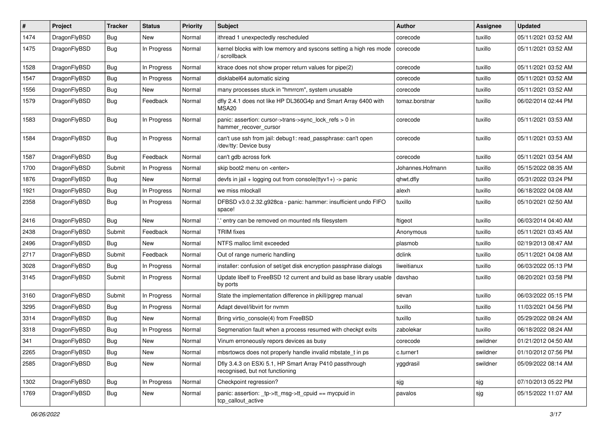| $\sharp$ | Project      | <b>Tracker</b> | <b>Status</b> | <b>Priority</b> | Subject                                                                                    | Author           | Assignee | <b>Updated</b>      |
|----------|--------------|----------------|---------------|-----------------|--------------------------------------------------------------------------------------------|------------------|----------|---------------------|
| 1474     | DragonFlyBSD | <b>Bug</b>     | New           | Normal          | ithread 1 unexpectedly rescheduled                                                         | corecode         | tuxillo  | 05/11/2021 03:52 AM |
| 1475     | DragonFlyBSD | <b>Bug</b>     | In Progress   | Normal          | kernel blocks with low memory and syscons setting a high res mode<br>/ scrollback          | corecode         | tuxillo  | 05/11/2021 03:52 AM |
| 1528     | DragonFlyBSD | <b>Bug</b>     | In Progress   | Normal          | ktrace does not show proper return values for pipe(2)                                      | corecode         | tuxillo  | 05/11/2021 03:52 AM |
| 1547     | DragonFlyBSD | <b>Bug</b>     | In Progress   | Normal          | disklabel64 automatic sizing                                                               | corecode         | tuxillo  | 05/11/2021 03:52 AM |
| 1556     | DragonFlyBSD | <b>Bug</b>     | New           | Normal          | many processes stuck in "hmrrcm", system unusable                                          | corecode         | tuxillo  | 05/11/2021 03:52 AM |
| 1579     | DragonFlyBSD | <b>Bug</b>     | Feedback      | Normal          | dfly 2.4.1 does not like HP DL360G4p and Smart Array 6400 with<br>MSA20                    | tomaz.borstnar   | tuxillo  | 06/02/2014 02:44 PM |
| 1583     | DragonFlyBSD | <b>Bug</b>     | In Progress   | Normal          | panic: assertion: cursor->trans->sync_lock_refs > 0 in<br>hammer_recover_cursor            | corecode         | tuxillo  | 05/11/2021 03:53 AM |
| 1584     | DragonFlyBSD | <b>Bug</b>     | In Progress   | Normal          | can't use ssh from jail: debug1: read_passphrase: can't open<br>/dev/tty: Device busy      | corecode         | tuxillo  | 05/11/2021 03:53 AM |
| 1587     | DragonFlyBSD | <b>Bug</b>     | Feedback      | Normal          | can't gdb across fork                                                                      | corecode         | tuxillo  | 05/11/2021 03:54 AM |
| 1700     | DragonFlyBSD | Submit         | In Progress   | Normal          | skip boot2 menu on <enter></enter>                                                         | Johannes.Hofmann | tuxillo  | 05/15/2022 08:35 AM |
| 1876     | DragonFlyBSD | <b>Bug</b>     | New           | Normal          | devfs in jail + logging out from console(ttyv1+) -> panic                                  | qhwt.dfly        | tuxillo  | 05/31/2022 03:24 PM |
| 1921     | DragonFlyBSD | <b>Bug</b>     | In Progress   | Normal          | we miss mlockall                                                                           | alexh            | tuxillo  | 06/18/2022 04:08 AM |
| 2358     | DragonFlyBSD | <b>Bug</b>     | In Progress   | Normal          | DFBSD v3.0.2.32.g928ca - panic: hammer: insufficient undo FIFO<br>space!                   | tuxillo          | tuxillo  | 05/10/2021 02:50 AM |
| 2416     | DragonFlyBSD | Bug            | New           | Normal          | ' entry can be removed on mounted nfs filesystem                                           | ftigeot          | tuxillo  | 06/03/2014 04:40 AM |
| 2438     | DragonFlyBSD | Submit         | Feedback      | Normal          | <b>TRIM</b> fixes                                                                          | Anonymous        | tuxillo  | 05/11/2021 03:45 AM |
| 2496     | DragonFlyBSD | Bug            | New           | Normal          | NTFS malloc limit exceeded                                                                 | plasmob          | tuxillo  | 02/19/2013 08:47 AM |
| 2717     | DragonFlyBSD | Submit         | Feedback      | Normal          | Out of range numeric handling                                                              | dclink           | tuxillo  | 05/11/2021 04:08 AM |
| 3028     | DragonFlyBSD | Bug            | In Progress   | Normal          | installer: confusion of set/get disk encryption passphrase dialogs                         | liweitianux      | tuxillo  | 06/03/2022 05:13 PM |
| 3145     | DragonFlyBSD | Submit         | In Progress   | Normal          | Update libelf to FreeBSD 12 current and build as base library usable<br>by ports           | davshao          | tuxillo  | 08/20/2021 03:58 PM |
| 3160     | DragonFlyBSD | Submit         | In Progress   | Normal          | State the implementation difference in pkill/pgrep manual                                  | sevan            | tuxillo  | 06/03/2022 05:15 PM |
| 3295     | DragonFlyBSD | <b>Bug</b>     | In Progress   | Normal          | Adapt devel/libvirt for nvmm                                                               | tuxillo          | tuxillo  | 11/03/2021 04:56 PM |
| 3314     | DragonFlyBSD | <b>Bug</b>     | New           | Normal          | Bring virtio_console(4) from FreeBSD                                                       | tuxillo          | tuxillo  | 05/29/2022 08:24 AM |
| 3318     | DragonFlyBSD | Bug            | In Progress   | Normal          | Segmenation fault when a process resumed with checkpt exits                                | zabolekar        | tuxillo  | 06/18/2022 08:24 AM |
| 341      | DragonFlyBSD | Bug            | <b>New</b>    | Normal          | Vinum erroneously repors devices as busy                                                   | corecode         | swildner | 01/21/2012 04:50 AM |
| 2265     | DragonFlyBSD | Bug            | New           | Normal          | mbsrtowcs does not properly handle invalid mbstate_t in ps                                 | c.turner1        | swildner | 01/10/2012 07:56 PM |
| 2585     | DragonFlyBSD | <b>Bug</b>     | New           | Normal          | Dfly 3.4.3 on ESXi 5.1, HP Smart Array P410 passthrough<br>recognised, but not functioning | yggdrasil        | swildner | 05/09/2022 08:14 AM |
| 1302     | DragonFlyBSD | <b>Bug</b>     | In Progress   | Normal          | Checkpoint regression?                                                                     | sjg              | sjg      | 07/10/2013 05:22 PM |
| 1769     | DragonFlyBSD | <b>Bug</b>     | New           | Normal          | panic: assertion: _tp->tt_msg->tt_cpuid == mycpuid in<br>tcp callout active                | pavalos          | sjg      | 05/15/2022 11:07 AM |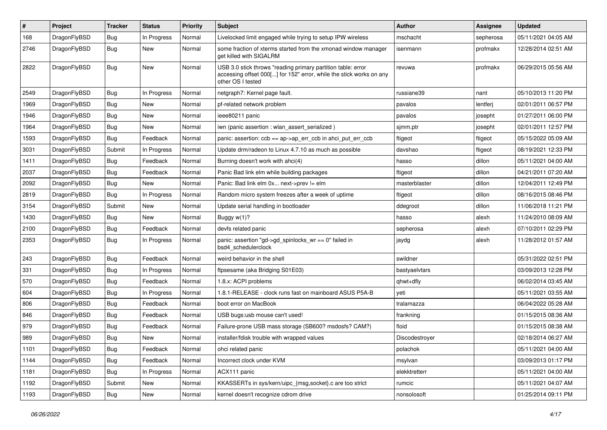| #    | Project      | <b>Tracker</b> | <b>Status</b> | <b>Priority</b> | Subject                                                                                                                                                  | Author         | Assignee  | <b>Updated</b>      |
|------|--------------|----------------|---------------|-----------------|----------------------------------------------------------------------------------------------------------------------------------------------------------|----------------|-----------|---------------------|
| 168  | DragonFlyBSD | <b>Bug</b>     | In Progress   | Normal          | Livelocked limit engaged while trying to setup IPW wireless                                                                                              | mschacht       | sepherosa | 05/11/2021 04:05 AM |
| 2746 | DragonFlyBSD | Bug            | New           | Normal          | some fraction of xterms started from the xmonad window manager<br>get killed with SIGALRM                                                                | isenmann       | profmakx  | 12/28/2014 02:51 AM |
| 2822 | DragonFlyBSD | Bug            | New           | Normal          | USB 3.0 stick throws "reading primary partition table: error<br>accessing offset 000[] for 152" error, while the stick works on any<br>other OS I tested | revuwa         | profmakx  | 06/29/2015 05:56 AM |
| 2549 | DragonFlyBSD | Bug            | In Progress   | Normal          | netgraph7: Kernel page fault.                                                                                                                            | russiane39     | nant      | 05/10/2013 11:20 PM |
| 1969 | DragonFlyBSD | <b>Bug</b>     | New           | Normal          | pf-related network problem                                                                                                                               | pavalos        | lentferj  | 02/01/2011 06:57 PM |
| 1946 | DragonFlyBSD | <b>Bug</b>     | New           | Normal          | ieee80211 panic                                                                                                                                          | pavalos        | josepht   | 01/27/2011 06:00 PM |
| 1964 | DragonFlyBSD | Bug            | <b>New</b>    | Normal          | iwn (panic assertion : wlan assert serialized)                                                                                                           | sjmm.ptr       | josepht   | 02/01/2011 12:57 PM |
| 1593 | DragonFlyBSD | <b>Bug</b>     | Feedback      | Normal          | panic: assertion: $ccb == ap > ap$ err $ccb$ in ahci put err $ccb$                                                                                       | ftigeot        | ftigeot   | 05/15/2022 05:09 AM |
| 3031 | DragonFlyBSD | Submit         | In Progress   | Normal          | Update drm/radeon to Linux 4.7.10 as much as possible                                                                                                    | davshao        | ftigeot   | 08/19/2021 12:33 PM |
| 1411 | DragonFlyBSD | Bug            | Feedback      | Normal          | Burning doesn't work with ahci(4)                                                                                                                        | hasso          | dillon    | 05/11/2021 04:00 AM |
| 2037 | DragonFlyBSD | <b>Bug</b>     | Feedback      | Normal          | Panic Bad link elm while building packages                                                                                                               | ftigeot        | dillon    | 04/21/2011 07:20 AM |
| 2092 | DragonFlyBSD | <b>Bug</b>     | New           | Normal          | Panic: Bad link elm 0x next->prev != elm                                                                                                                 | masterblaster  | dillon    | 12/04/2011 12:49 PM |
| 2819 | DragonFlyBSD | <b>Bug</b>     | In Progress   | Normal          | Random micro system freezes after a week of uptime                                                                                                       | ftigeot        | dillon    | 08/16/2015 08:46 PM |
| 3154 | DragonFlyBSD | Submit         | New           | Normal          | Update serial handling in bootloader                                                                                                                     | ddegroot       | dillon    | 11/06/2018 11:21 PM |
| 1430 | DragonFlyBSD | Bug            | New           | Normal          | Buggy w(1)?                                                                                                                                              | hasso          | alexh     | 11/24/2010 08:09 AM |
| 2100 | DragonFlyBSD | <b>Bug</b>     | Feedback      | Normal          | devfs related panic                                                                                                                                      | sepherosa      | alexh     | 07/10/2011 02:29 PM |
| 2353 | DragonFlyBSD | <b>Bug</b>     | In Progress   | Normal          | panic: assertion "gd->gd_spinlocks_wr == 0" failed in<br>bsd4 schedulerclock                                                                             | jaydg          | alexh     | 11/28/2012 01:57 AM |
| 243  | DragonFlyBSD | <b>Bug</b>     | Feedback      | Normal          | weird behavior in the shell                                                                                                                              | swildner       |           | 05/31/2022 02:51 PM |
| 331  | DragonFlyBSD | <b>Bug</b>     | In Progress   | Normal          | ftpsesame (aka Bridging S01E03)                                                                                                                          | bastyaelvtars  |           | 03/09/2013 12:28 PM |
| 570  | DragonFlyBSD | <b>Bug</b>     | Feedback      | Normal          | 1.8.x: ACPI problems                                                                                                                                     | qhwt+dfly      |           | 06/02/2014 03:45 AM |
| 604  | DragonFlyBSD | <b>Bug</b>     | In Progress   | Normal          | 1.8.1-RELEASE - clock runs fast on mainboard ASUS P5A-B                                                                                                  | yeti           |           | 05/11/2021 03:55 AM |
| 806  | DragonFlyBSD | Bug            | Feedback      | Normal          | boot error on MacBook                                                                                                                                    | tralamazza     |           | 06/04/2022 05:28 AM |
| 846  | DragonFlyBSD | <b>Bug</b>     | Feedback      | Normal          | USB bugs:usb mouse can't used!                                                                                                                           | frankning      |           | 01/15/2015 08:36 AM |
| 979  | DragonFlyBSD | <b>Bug</b>     | Feedback      | Normal          | Failure-prone USB mass storage (SB600? msdosfs? CAM?)                                                                                                    | floid          |           | 01/15/2015 08:38 AM |
| 989  | DragonFlyBSD | Bug            | New           | Normal          | installer/fdisk trouble with wrapped values                                                                                                              | Discodestrover |           | 02/18/2014 06:27 AM |
| 1101 | DragonFlyBSD | <b>Bug</b>     | Feedback      | Normal          | ohci related panic                                                                                                                                       | polachok       |           | 05/11/2021 04:00 AM |
| 1144 | DragonFlyBSD | <b>Bug</b>     | Feedback      | Normal          | Incorrect clock under KVM                                                                                                                                | msylvan        |           | 03/09/2013 01:17 PM |
| 1181 | DragonFlyBSD | <b>Bug</b>     | In Progress   | Normal          | ACX111 panic                                                                                                                                             | elekktretterr  |           | 05/11/2021 04:00 AM |
| 1192 | DragonFlyBSD | Submit         | New           | Normal          | KKASSERTs in sys/kern/uipc_{msg,socket}.c are too strict                                                                                                 | rumcic         |           | 05/11/2021 04:07 AM |
| 1193 | DragonFlyBSD | <b>Bug</b>     | New           | Normal          | kernel doesn't recognize cdrom drive                                                                                                                     | nonsolosoft    |           | 01/25/2014 09:11 PM |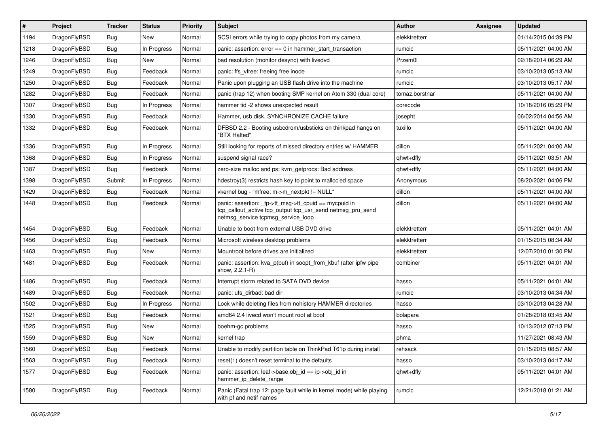| $\vert$ # | Project      | <b>Tracker</b> | <b>Status</b> | <b>Priority</b> | <b>Subject</b>                                                                                                                                            | <b>Author</b>  | Assignee | <b>Updated</b>      |
|-----------|--------------|----------------|---------------|-----------------|-----------------------------------------------------------------------------------------------------------------------------------------------------------|----------------|----------|---------------------|
| 1194      | DragonFlyBSD | <b>Bug</b>     | New           | Normal          | SCSI errors while trying to copy photos from my camera                                                                                                    | elekktretterr  |          | 01/14/2015 04:39 PM |
| 1218      | DragonFlyBSD | Bug            | In Progress   | Normal          | panic: assertion: $error == 0$ in hammer start transaction                                                                                                | rumcic         |          | 05/11/2021 04:00 AM |
| 1246      | DragonFlyBSD | <b>Bug</b>     | New           | Normal          | bad resolution (monitor desync) with livedvd                                                                                                              | Przem0l        |          | 02/18/2014 06:29 AM |
| 1249      | DragonFlyBSD | Bug            | Feedback      | Normal          | panic: ffs vfree: freeing free inode                                                                                                                      | rumcic         |          | 03/10/2013 05:13 AM |
| 1250      | DragonFlyBSD | Bug            | Feedback      | Normal          | Panic upon plugging an USB flash drive into the machine                                                                                                   | rumcic         |          | 03/10/2013 05:17 AM |
| 1282      | DragonFlyBSD | <b>Bug</b>     | Feedback      | Normal          | panic (trap 12) when booting SMP kernel on Atom 330 (dual core)                                                                                           | tomaz.borstnar |          | 05/11/2021 04:00 AM |
| 1307      | DragonFlyBSD | Bug            | In Progress   | Normal          | hammer tid -2 shows unexpected result                                                                                                                     | corecode       |          | 10/18/2016 05:29 PM |
| 1330      | DragonFlyBSD | Bug            | Feedback      | Normal          | Hammer, usb disk, SYNCHRONIZE CACHE failure                                                                                                               | josepht        |          | 06/02/2014 04:56 AM |
| 1332      | DragonFlyBSD | <b>Bug</b>     | Feedback      | Normal          | DFBSD 2.2 - Booting usbcdrom/usbsticks on thinkpad hangs on<br>"BTX Halted"                                                                               | tuxillo        |          | 05/11/2021 04:00 AM |
| 1336      | DragonFlyBSD | <b>Bug</b>     | In Progress   | Normal          | Still looking for reports of missed directory entries w/ HAMMER                                                                                           | dillon         |          | 05/11/2021 04:00 AM |
| 1368      | DragonFlyBSD | <b>Bug</b>     | In Progress   | Normal          | suspend signal race?                                                                                                                                      | qhwt+dfly      |          | 05/11/2021 03:51 AM |
| 1387      | DragonFlyBSD | Bug            | Feedback      | Normal          | zero-size malloc and ps: kvm_getprocs: Bad address                                                                                                        | ghwt+dfly      |          | 05/11/2021 04:00 AM |
| 1398      | DragonFlyBSD | Submit         | In Progress   | Normal          | hdestroy(3) restricts hash key to point to malloc'ed space                                                                                                | Anonymous      |          | 08/20/2021 04:06 PM |
| 1429      | DragonFlyBSD | Bug            | Feedback      | Normal          | vkernel bug - "mfree: m->m_nextpkt != NULL"                                                                                                               | dillon         |          | 05/11/2021 04:00 AM |
| 1448      | DragonFlyBSD | Bug            | Feedback      | Normal          | panic: assertion: _tp->tt_msg->tt_cpuid == mycpuid in<br>tcp_callout_active tcp_output tcp_usr_send netmsg_pru_send<br>netmsg_service tcpmsg_service_loop | dillon         |          | 05/11/2021 04:00 AM |
| 1454      | DragonFlyBSD | <b>Bug</b>     | Feedback      | Normal          | Unable to boot from external USB DVD drive                                                                                                                | elekktretterr  |          | 05/11/2021 04:01 AM |
| 1456      | DragonFlyBSD | Bug            | Feedback      | Normal          | Microsoft wireless desktop problems                                                                                                                       | elekktretterr  |          | 01/15/2015 08:34 AM |
| 1463      | DragonFlyBSD | Bug            | <b>New</b>    | Normal          | Mountroot before drives are initialized                                                                                                                   | elekktretterr  |          | 12/07/2010 01:30 PM |
| 1481      | DragonFlyBSD | Bug            | Feedback      | Normal          | panic: assertion: kva_p(buf) in soopt_from_kbuf (after ipfw pipe<br>show, 2.2.1-R)                                                                        | combiner       |          | 05/11/2021 04:01 AM |
| 1486      | DragonFlyBSD | <b>Bug</b>     | Feedback      | Normal          | Interrupt storm related to SATA DVD device                                                                                                                | hasso          |          | 05/11/2021 04:01 AM |
| 1489      | DragonFlyBSD | Bug            | Feedback      | Normal          | panic: ufs dirbad: bad dir                                                                                                                                | rumcic         |          | 03/10/2013 04:34 AM |
| 1502      | DragonFlyBSD | Bug            | In Progress   | Normal          | Lock while deleting files from nohistory HAMMER directories                                                                                               | hasso          |          | 03/10/2013 04:28 AM |
| 1521      | DragonFlyBSD | Bug            | Feedback      | Normal          | amd64 2.4 livecd won't mount root at boot                                                                                                                 | bolapara       |          | 01/28/2018 03:45 AM |
| 1525      | DragonFlyBSD | Bug            | New           | Normal          | boehm-gc problems                                                                                                                                         | hasso          |          | 10/13/2012 07:13 PM |
| 1559      | DragonFlyBSD | <b>Bug</b>     | <b>New</b>    | Normal          | kernel trap                                                                                                                                               | phma           |          | 11/27/2021 08:43 AM |
| 1560      | DragonFlyBSD | Bug            | Feedback      | Normal          | Unable to modify partition table on ThinkPad T61p during install                                                                                          | rehsack        |          | 01/15/2015 08:57 AM |
| 1563      | DragonFlyBSD | Bug            | Feedback      | Normal          | reset(1) doesn't reset terminal to the defaults                                                                                                           | hasso          |          | 03/10/2013 04:17 AM |
| 1577      | DragonFlyBSD | <b>Bug</b>     | Feedback      | Normal          | panic: assertion: leaf->base.obj_id == ip->obj_id in<br>hammer_ip_delete_range                                                                            | qhwt+dfly      |          | 05/11/2021 04:01 AM |
| 1580      | DragonFlyBSD | <b>Bug</b>     | Feedback      | Normal          | Panic (Fatal trap 12: page fault while in kernel mode) while playing<br>with pf and netif names                                                           | rumcic         |          | 12/21/2018 01:21 AM |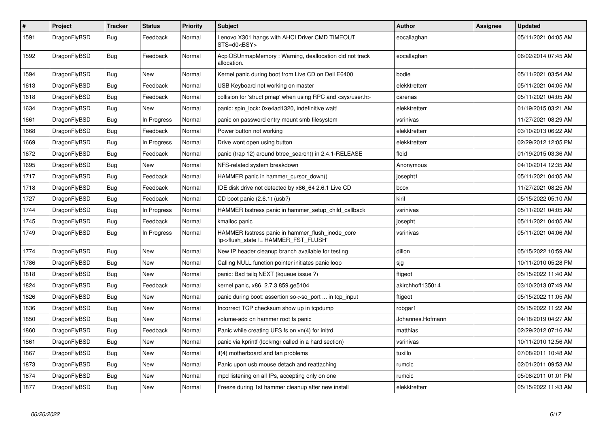| $\vert$ # | Project      | <b>Tracker</b> | <b>Status</b> | <b>Priority</b> | <b>Subject</b>                                                                            | <b>Author</b>    | Assignee | <b>Updated</b>      |
|-----------|--------------|----------------|---------------|-----------------|-------------------------------------------------------------------------------------------|------------------|----------|---------------------|
| 1591      | DragonFlyBSD | <b>Bug</b>     | Feedback      | Normal          | Lenovo X301 hangs with AHCI Driver CMD TIMEOUT<br>STS=d0 <bsy></bsy>                      | eocallaghan      |          | 05/11/2021 04:05 AM |
| 1592      | DragonFlyBSD | Bug            | Feedback      | Normal          | AcpiOSUnmapMemory: Warning, deallocation did not track<br>allocation.                     | eocallaghan      |          | 06/02/2014 07:45 AM |
| 1594      | DragonFlyBSD | <b>Bug</b>     | <b>New</b>    | Normal          | Kernel panic during boot from Live CD on Dell E6400                                       | bodie            |          | 05/11/2021 03:54 AM |
| 1613      | DragonFlyBSD | Bug            | Feedback      | Normal          | USB Keyboard not working on master                                                        | elekktretterr    |          | 05/11/2021 04:05 AM |
| 1618      | DragonFlyBSD | Bug            | Feedback      | Normal          | collision for 'struct pmap' when using RPC and <sys user.h=""></sys>                      | carenas          |          | 05/11/2021 04:05 AM |
| 1634      | DragonFlyBSD | Bug            | New           | Normal          | panic: spin lock: 0xe4ad1320, indefinitive wait!                                          | elekktretterr    |          | 01/19/2015 03:21 AM |
| 1661      | DragonFlyBSD | Bug            | In Progress   | Normal          | panic on password entry mount smb filesystem                                              | vsrinivas        |          | 11/27/2021 08:29 AM |
| 1668      | DragonFlyBSD | Bug            | Feedback      | Normal          | Power button not working                                                                  | elekktretterr    |          | 03/10/2013 06:22 AM |
| 1669      | DragonFlyBSD | <b>Bug</b>     | In Progress   | Normal          | Drive wont open using button                                                              | elekktretterr    |          | 02/29/2012 12:05 PM |
| 1672      | DragonFlyBSD | Bug            | Feedback      | Normal          | panic (trap 12) around btree search() in 2.4.1-RELEASE                                    | floid            |          | 01/19/2015 03:36 AM |
| 1695      | DragonFlyBSD | <b>Bug</b>     | New           | Normal          | NFS-related system breakdown                                                              | Anonymous        |          | 04/10/2014 12:35 AM |
| 1717      | DragonFlyBSD | Bug            | Feedback      | Normal          | HAMMER panic in hammer cursor down()                                                      | josepht1         |          | 05/11/2021 04:05 AM |
| 1718      | DragonFlyBSD | <b>Bug</b>     | Feedback      | Normal          | IDE disk drive not detected by x86 64 2.6.1 Live CD                                       | bcox             |          | 11/27/2021 08:25 AM |
| 1727      | DragonFlyBSD | Bug            | Feedback      | Normal          | CD boot panic (2.6.1) (usb?)                                                              | kiril            |          | 05/15/2022 05:10 AM |
| 1744      | DragonFlyBSD | Bug            | In Progress   | Normal          | HAMMER fsstress panic in hammer_setup_child_callback                                      | vsrinivas        |          | 05/11/2021 04:05 AM |
| 1745      | DragonFlyBSD | Bug            | Feedback      | Normal          | kmalloc panic                                                                             | josepht          |          | 05/11/2021 04:05 AM |
| 1749      | DragonFlyBSD | <b>Bug</b>     | In Progress   | Normal          | HAMMER fsstress panic in hammer_flush_inode_core<br>'ip->flush state != HAMMER FST FLUSH' | vsrinivas        |          | 05/11/2021 04:06 AM |
| 1774      | DragonFlyBSD | <b>Bug</b>     | <b>New</b>    | Normal          | New IP header cleanup branch available for testing                                        | dillon           |          | 05/15/2022 10:59 AM |
| 1786      | DragonFlyBSD | Bug            | <b>New</b>    | Normal          | Calling NULL function pointer initiates panic loop                                        | sjg              |          | 10/11/2010 05:28 PM |
| 1818      | DragonFlyBSD | <b>Bug</b>     | <b>New</b>    | Normal          | panic: Bad tailq NEXT (kqueue issue ?)                                                    | ftigeot          |          | 05/15/2022 11:40 AM |
| 1824      | DragonFlyBSD | <b>Bug</b>     | Feedback      | Normal          | kernel panic, x86, 2.7.3.859.ge5104                                                       | akirchhoff135014 |          | 03/10/2013 07:49 AM |
| 1826      | DragonFlyBSD | <b>Bug</b>     | <b>New</b>    | Normal          | panic during boot: assertion so->so_port  in tcp_input                                    | ftigeot          |          | 05/15/2022 11:05 AM |
| 1836      | DragonFlyBSD | Bug            | New           | Normal          | Incorrect TCP checksum show up in tcpdump                                                 | robgar1          |          | 05/15/2022 11:22 AM |
| 1850      | DragonFlyBSD | <b>Bug</b>     | New           | Normal          | volume-add on hammer root fs panic                                                        | Johannes.Hofmann |          | 04/18/2019 04:27 AM |
| 1860      | DragonFlyBSD | Bug            | Feedback      | Normal          | Panic while creating UFS fs on vn(4) for initrd                                           | matthias         |          | 02/29/2012 07:16 AM |
| 1861      | DragonFlyBSD | <b>Bug</b>     | New           | Normal          | panic via kprintf (lockmgr called in a hard section)                                      | vsrinivas        |          | 10/11/2010 12:56 AM |
| 1867      | DragonFlyBSD | Bug            | New           | Normal          | it(4) motherboard and fan problems                                                        | tuxillo          |          | 07/08/2011 10:48 AM |
| 1873      | DragonFlyBSD | <b>Bug</b>     | New           | Normal          | Panic upon usb mouse detach and reattaching                                               | rumcic           |          | 02/01/2011 09:53 AM |
| 1874      | DragonFlyBSD | Bug            | New           | Normal          | mpd listening on all IPs, accepting only on one                                           | rumcic           |          | 05/08/2011 01:01 PM |
| 1877      | DragonFlyBSD | Bug            | <b>New</b>    | Normal          | Freeze during 1st hammer cleanup after new install                                        | elekktretterr    |          | 05/15/2022 11:43 AM |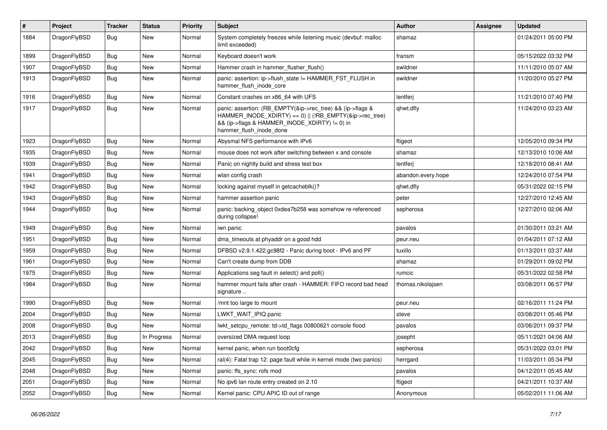| #    | Project      | <b>Tracker</b> | <b>Status</b> | <b>Priority</b> | Subject                                                                                                                                                                                           | Author             | <b>Assignee</b> | <b>Updated</b>      |
|------|--------------|----------------|---------------|-----------------|---------------------------------------------------------------------------------------------------------------------------------------------------------------------------------------------------|--------------------|-----------------|---------------------|
| 1884 | DragonFlyBSD | <b>Bug</b>     | New           | Normal          | System completely freezes while listening music (devbuf: malloc<br>limit exceeded)                                                                                                                | shamaz             |                 | 01/24/2011 05:00 PM |
| 1899 | DragonFlyBSD | <b>Bug</b>     | New           | Normal          | Keyboard doesn't work                                                                                                                                                                             | fransm             |                 | 05/15/2022 03:32 PM |
| 1907 | DragonFlyBSD | <b>Bug</b>     | <b>New</b>    | Normal          | Hammer crash in hammer flusher flush()                                                                                                                                                            | swildner           |                 | 11/11/2010 05:07 AM |
| 1913 | DragonFlyBSD | Bug            | New           | Normal          | panic: assertion: ip->flush_state != HAMMER_FST_FLUSH in<br>hammer flush inode core                                                                                                               | swildner           |                 | 11/20/2010 05:27 PM |
| 1916 | DragonFlyBSD | Bug            | <b>New</b>    | Normal          | Constant crashes on x86_64 with UFS                                                                                                                                                               | lentferj           |                 | 11/21/2010 07:40 PM |
| 1917 | DragonFlyBSD | Bug            | <b>New</b>    | Normal          | panic: assertion: (RB_EMPTY(&ip->rec_tree) && (ip->flags &<br>HAMMER_INODE_XDIRTY) == 0)    (!RB_EMPTY(&ip->rec_tree)<br>&& (ip->flags & HAMMER_INODE_XDIRTY) != 0) in<br>hammer_flush_inode_done | qhwt.dfly          |                 | 11/24/2010 03:23 AM |
| 1923 | DragonFlyBSD | Bug            | <b>New</b>    | Normal          | Abysmal NFS performance with IPv6                                                                                                                                                                 | ftigeot            |                 | 12/05/2010 09:34 PM |
| 1935 | DragonFlyBSD | Bug            | <b>New</b>    | Normal          | mouse does not work after switching between x and console                                                                                                                                         | shamaz             |                 | 12/13/2010 10:06 AM |
| 1939 | DragonFlyBSD | Bug            | New           | Normal          | Panic on nightly build and stress test box                                                                                                                                                        | lentferj           |                 | 12/18/2010 08:41 AM |
| 1941 | DragonFlyBSD | Bug            | New           | Normal          | wlan config crash                                                                                                                                                                                 | abandon.every.hope |                 | 12/24/2010 07:54 PM |
| 1942 | DragonFlyBSD | Bug            | New           | Normal          | locking against myself in getcacheblk()?                                                                                                                                                          | qhwt.dfly          |                 | 05/31/2022 02:15 PM |
| 1943 | DragonFlyBSD | Bug            | <b>New</b>    | Normal          | hammer assertion panic                                                                                                                                                                            | peter              |                 | 12/27/2010 12:45 AM |
| 1944 | DragonFlyBSD | Bug            | New           | Normal          | panic: backing object 0xdea7b258 was somehow re-referenced<br>during collapse!                                                                                                                    | sepherosa          |                 | 12/27/2010 02:06 AM |
| 1949 | DragonFlyBSD | Bug            | New           | Normal          | iwn panic                                                                                                                                                                                         | pavalos            |                 | 01/30/2011 03:21 AM |
| 1951 | DragonFlyBSD | Bug            | <b>New</b>    | Normal          | dma timeouts at phyaddr on a good hdd                                                                                                                                                             | peur.neu           |                 | 01/04/2011 07:12 AM |
| 1959 | DragonFlyBSD | Bug            | New           | Normal          | DFBSD v2.9.1.422.gc98f2 - Panic during boot - IPv6 and PF                                                                                                                                         | tuxillo            |                 | 01/13/2011 03:37 AM |
| 1961 | DragonFlyBSD | Bug            | New           | Normal          | Can't create dump from DDB                                                                                                                                                                        | shamaz             |                 | 01/29/2011 09:02 PM |
| 1975 | DragonFlyBSD | Bug            | <b>New</b>    | Normal          | Applications seg fault in select() and poll()                                                                                                                                                     | rumcic             |                 | 05/31/2022 02:58 PM |
| 1984 | DragonFlyBSD | Bug            | New           | Normal          | hammer mount fails after crash - HAMMER: FIFO record bad head<br>signature                                                                                                                        | thomas.nikolajsen  |                 | 03/08/2011 06:57 PM |
| 1990 | DragonFlyBSD | Bug            | New           | Normal          | /mnt too large to mount                                                                                                                                                                           | peur.neu           |                 | 02/16/2011 11:24 PM |
| 2004 | DragonFlyBSD | Bug            | New           | Normal          | LWKT WAIT IPIQ panic                                                                                                                                                                              | steve              |                 | 03/08/2011 05:46 PM |
| 2008 | DragonFlyBSD | Bug            | New           | Normal          | lwkt_setcpu_remote: td->td_flags 00800621 console flood                                                                                                                                           | pavalos            |                 | 03/06/2011 09:37 PM |
| 2013 | DragonFlyBSD | <b>Bug</b>     | In Progress   | Normal          | oversized DMA request loop                                                                                                                                                                        | josepht            |                 | 05/11/2021 04:06 AM |
| 2042 | DragonFlyBSD | <b>Bug</b>     | New           | Normal          | kernel panic, when run boot0cfg                                                                                                                                                                   | sepherosa          |                 | 05/31/2022 03:01 PM |
| 2045 | DragonFlyBSD | <b>Bug</b>     | New           | Normal          | ral(4): Fatal trap 12: page fault while in kernel mode (two panics)                                                                                                                               | herrgard           |                 | 11/03/2011 05:34 PM |
| 2048 | DragonFlyBSD | <b>Bug</b>     | <b>New</b>    | Normal          | panic: ffs_sync: rofs mod                                                                                                                                                                         | pavalos            |                 | 04/12/2011 05:45 AM |
| 2051 | DragonFlyBSD | <b>Bug</b>     | <b>New</b>    | Normal          | No ipv6 lan route entry created on 2.10                                                                                                                                                           | ftigeot            |                 | 04/21/2011 10:37 AM |
| 2052 | DragonFlyBSD | <b>Bug</b>     | New           | Normal          | Kernel panic: CPU APIC ID out of range                                                                                                                                                            | Anonymous          |                 | 05/02/2011 11:06 AM |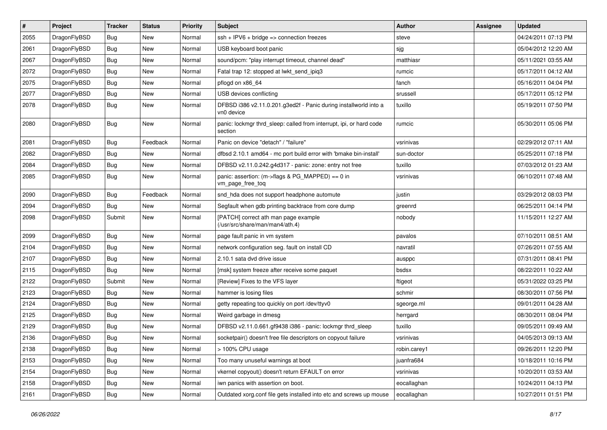| $\sharp$ | Project      | <b>Tracker</b> | <b>Status</b> | <b>Priority</b> | Subject                                                                        | <b>Author</b> | <b>Assignee</b> | <b>Updated</b>      |
|----------|--------------|----------------|---------------|-----------------|--------------------------------------------------------------------------------|---------------|-----------------|---------------------|
| 2055     | DragonFlyBSD | Bug            | New           | Normal          | $ssh + IPV6 + bridge \Rightarrow$ connection freezes                           | steve         |                 | 04/24/2011 07:13 PM |
| 2061     | DragonFlyBSD | Bug            | <b>New</b>    | Normal          | USB keyboard boot panic                                                        | sjg           |                 | 05/04/2012 12:20 AM |
| 2067     | DragonFlyBSD | <b>Bug</b>     | New           | Normal          | sound/pcm: "play interrupt timeout, channel dead"                              | matthiasr     |                 | 05/11/2021 03:55 AM |
| 2072     | DragonFlyBSD | Bug            | New           | Normal          | Fatal trap 12: stopped at lwkt_send_ipiq3                                      | rumcic        |                 | 05/17/2011 04:12 AM |
| 2075     | DragonFlyBSD | Bug            | <b>New</b>    | Normal          | pflogd on x86_64                                                               | fanch         |                 | 05/16/2011 04:04 PM |
| 2077     | DragonFlyBSD | Bug            | New           | Normal          | USB devices conflicting                                                        | srussell      |                 | 05/17/2011 05:12 PM |
| 2078     | DragonFlyBSD | Bug            | New           | Normal          | DFBSD i386 v2.11.0.201.g3ed2f - Panic during installworld into a<br>vn0 device | tuxillo       |                 | 05/19/2011 07:50 PM |
| 2080     | DragonFlyBSD | Bug            | New           | Normal          | panic: lockmgr thrd_sleep: called from interrupt, ipi, or hard code<br>section | rumcic        |                 | 05/30/2011 05:06 PM |
| 2081     | DragonFlyBSD | Bug            | Feedback      | Normal          | Panic on device "detach" / "failure"                                           | vsrinivas     |                 | 02/29/2012 07:11 AM |
| 2082     | DragonFlyBSD | Bug            | <b>New</b>    | Normal          | dfbsd 2.10.1 amd64 - mc port build error with 'bmake bin-install'              | sun-doctor    |                 | 05/25/2011 07:18 PM |
| 2084     | DragonFlyBSD | Bug            | <b>New</b>    | Normal          | DFBSD v2.11.0.242.g4d317 - panic: zone: entry not free                         | tuxillo       |                 | 07/03/2012 01:23 AM |
| 2085     | DragonFlyBSD | Bug            | New           | Normal          | panic: assertion: (m->flags & PG_MAPPED) == 0 in<br>vm_page_free_toq           | vsrinivas     |                 | 06/10/2011 07:48 AM |
| 2090     | DragonFlyBSD | Bug            | Feedback      | Normal          | snd hda does not support headphone automute                                    | justin        |                 | 03/29/2012 08:03 PM |
| 2094     | DragonFlyBSD | Bug            | New           | Normal          | Segfault when gdb printing backtrace from core dump                            | greenrd       |                 | 06/25/2011 04:14 PM |
| 2098     | DragonFlyBSD | Submit         | New           | Normal          | [PATCH] correct ath man page example<br>(/usr/src/share/man/man4/ath.4)        | nobody        |                 | 11/15/2011 12:27 AM |
| 2099     | DragonFlyBSD | Bug            | <b>New</b>    | Normal          | page fault panic in vm system                                                  | pavalos       |                 | 07/10/2011 08:51 AM |
| 2104     | DragonFlyBSD | Bug            | <b>New</b>    | Normal          | network configuration seg. fault on install CD                                 | navratil      |                 | 07/26/2011 07:55 AM |
| 2107     | DragonFlyBSD | Bug            | New           | Normal          | 2.10.1 sata dvd drive issue                                                    | ausppc        |                 | 07/31/2011 08:41 PM |
| 2115     | DragonFlyBSD | Bug            | New           | Normal          | [msk] system freeze after receive some paquet                                  | bsdsx         |                 | 08/22/2011 10:22 AM |
| 2122     | DragonFlyBSD | Submit         | New           | Normal          | [Review] Fixes to the VFS layer                                                | ftigeot       |                 | 05/31/2022 03:25 PM |
| 2123     | DragonFlyBSD | Bug            | New           | Normal          | hammer is losing files                                                         | schmir        |                 | 08/30/2011 07:56 PM |
| 2124     | DragonFlyBSD | Bug            | <b>New</b>    | Normal          | getty repeating too quickly on port /dev/ttyv0                                 | sgeorge.ml    |                 | 09/01/2011 04:28 AM |
| 2125     | DragonFlyBSD | <b>Bug</b>     | New           | Normal          | Weird garbage in dmesg                                                         | herrgard      |                 | 08/30/2011 08:04 PM |
| 2129     | DragonFlyBSD | Bug            | <b>New</b>    | Normal          | DFBSD v2.11.0.661.gf9438 i386 - panic: lockmgr thrd_sleep                      | tuxillo       |                 | 09/05/2011 09:49 AM |
| 2136     | DragonFlyBSD | Bug            | New           | Normal          | socketpair() doesn't free file descriptors on copyout failure                  | vsrinivas     |                 | 04/05/2013 09:13 AM |
| 2138     | DragonFlyBSD | <b>Bug</b>     | New           | Normal          | > 100% CPU usage                                                               | robin.carey1  |                 | 09/26/2011 12:20 PM |
| 2153     | DragonFlyBSD | <b>Bug</b>     | New           | Normal          | Too many unuseful warnings at boot                                             | juanfra684    |                 | 10/18/2011 10:16 PM |
| 2154     | DragonFlyBSD | <b>Bug</b>     | New           | Normal          | vkernel copyout() doesn't return EFAULT on error                               | vsrinivas     |                 | 10/20/2011 03:53 AM |
| 2158     | DragonFlyBSD | <b>Bug</b>     | New           | Normal          | iwn panics with assertion on boot.                                             | eocallaghan   |                 | 10/24/2011 04:13 PM |
| 2161     | DragonFlyBSD | <b>Bug</b>     | New           | Normal          | Outdated xorg.conf file gets installed into etc and screws up mouse            | eocallaghan   |                 | 10/27/2011 01:51 PM |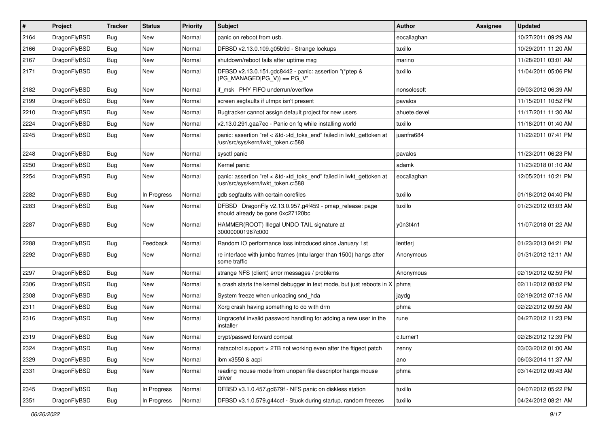| $\vert$ # | Project      | <b>Tracker</b> | <b>Status</b> | <b>Priority</b> | <b>Subject</b>                                                                                             | <b>Author</b> | Assignee | <b>Updated</b>      |
|-----------|--------------|----------------|---------------|-----------------|------------------------------------------------------------------------------------------------------------|---------------|----------|---------------------|
| 2164      | DragonFlyBSD | Bug            | <b>New</b>    | Normal          | panic on reboot from usb.                                                                                  | eocallaghan   |          | 10/27/2011 09:29 AM |
| 2166      | DragonFlyBSD | <b>Bug</b>     | <b>New</b>    | Normal          | DFBSD v2.13.0.109.g05b9d - Strange lockups                                                                 | tuxillo       |          | 10/29/2011 11:20 AM |
| 2167      | DragonFlyBSD | <b>Bug</b>     | <b>New</b>    | Normal          | shutdown/reboot fails after uptime msg                                                                     | marino        |          | 11/28/2011 03:01 AM |
| 2171      | DragonFlyBSD | Bug            | New           | Normal          | DFBSD v2.13.0.151.gdc8442 - panic: assertion "(*ptep &<br>$(PG$ MANAGED PG V)) == PG V"                    | tuxillo       |          | 11/04/2011 05:06 PM |
| 2182      | DragonFlyBSD | <b>Bug</b>     | New           | Normal          | if msk PHY FIFO underrun/overflow                                                                          | nonsolosoft   |          | 09/03/2012 06:39 AM |
| 2199      | DragonFlyBSD | Bug            | <b>New</b>    | Normal          | screen segfaults if utmpx isn't present                                                                    | pavalos       |          | 11/15/2011 10:52 PM |
| 2210      | DragonFlyBSD | <b>Bug</b>     | <b>New</b>    | Normal          | Bugtracker cannot assign default project for new users                                                     | ahuete.devel  |          | 11/17/2011 11:30 AM |
| 2224      | DragonFlyBSD | <b>Bug</b>     | <b>New</b>    | Normal          | v2.13.0.291.gaa7ec - Panic on fq while installing world                                                    | tuxillo       |          | 11/18/2011 01:40 AM |
| 2245      | DragonFlyBSD | Bug            | <b>New</b>    | Normal          | panic: assertion "ref < &td->td_toks_end" failed in lwkt_gettoken at<br>/usr/src/sys/kern/lwkt_token.c:588 | juanfra684    |          | 11/22/2011 07:41 PM |
| 2248      | DragonFlyBSD | Bug            | <b>New</b>    | Normal          | sysctl panic                                                                                               | pavalos       |          | 11/23/2011 06:23 PM |
| 2250      | DragonFlyBSD | <b>Bug</b>     | <b>New</b>    | Normal          | Kernel panic                                                                                               | adamk         |          | 11/23/2018 01:10 AM |
| 2254      | DragonFlyBSD | Bug            | New           | Normal          | panic: assertion "ref < &td->td_toks_end" failed in lwkt_gettoken at<br>/usr/src/sys/kern/lwkt_token.c:588 | eocallaghan   |          | 12/05/2011 10:21 PM |
| 2282      | DragonFlyBSD | <b>Bug</b>     | In Progress   | Normal          | gdb segfaults with certain corefiles                                                                       | tuxillo       |          | 01/18/2012 04:40 PM |
| 2283      | DragonFlyBSD | Bug            | <b>New</b>    | Normal          | DFBSD DragonFly v2.13.0.957.g4f459 - pmap_release: page<br>should already be gone 0xc27120bc               | tuxillo       |          | 01/23/2012 03:03 AM |
| 2287      | DragonFlyBSD | <b>Bug</b>     | <b>New</b>    | Normal          | HAMMER(ROOT) Illegal UNDO TAIL signature at<br>300000001967c000                                            | y0n3t4n1      |          | 11/07/2018 01:22 AM |
| 2288      | DragonFlyBSD | <b>Bug</b>     | Feedback      | Normal          | Random IO performance loss introduced since January 1st                                                    | lentferj      |          | 01/23/2013 04:21 PM |
| 2292      | DragonFlyBSD | <b>Bug</b>     | New           | Normal          | re interface with jumbo frames (mtu larger than 1500) hangs after<br>some traffic                          | Anonymous     |          | 01/31/2012 12:11 AM |
| 2297      | DragonFlyBSD | Bug            | <b>New</b>    | Normal          | strange NFS (client) error messages / problems                                                             | Anonymous     |          | 02/19/2012 02:59 PM |
| 2306      | DragonFlyBSD | Bug            | <b>New</b>    | Normal          | a crash starts the kernel debugger in text mode, but just reboots in $X \mid p$ hma                        |               |          | 02/11/2012 08:02 PM |
| 2308      | DragonFlyBSD | <b>Bug</b>     | <b>New</b>    | Normal          | System freeze when unloading snd_hda                                                                       | jaydg         |          | 02/19/2012 07:15 AM |
| 2311      | DragonFlyBSD | <b>Bug</b>     | <b>New</b>    | Normal          | Xorg crash having something to do with drm                                                                 | phma          |          | 02/22/2012 09:59 AM |
| 2316      | DragonFlyBSD | Bug            | <b>New</b>    | Normal          | Ungraceful invalid password handling for adding a new user in the<br>installer                             | rune          |          | 04/27/2012 11:23 PM |
| 2319      | DragonFlyBSD | <b>Bug</b>     | <b>New</b>    | Normal          | crypt/passwd forward compat                                                                                | c.turner1     |          | 02/28/2012 12:39 PM |
| 2324      | DragonFlyBSD | <b>Bug</b>     | New           | Normal          | natacotrol support > 2TB not working even after the ftigeot patch                                          | zenny         |          | 03/03/2012 01:00 AM |
| 2329      | DragonFlyBSD | <b>Bug</b>     | New           | Normal          | ibm x3550 & acpi                                                                                           | ano           |          | 06/03/2014 11:37 AM |
| 2331      | DragonFlyBSD | <b>Bug</b>     | New           | Normal          | reading mouse mode from unopen file descriptor hangs mouse<br>driver                                       | phma          |          | 03/14/2012 09:43 AM |
| 2345      | DragonFlyBSD | <b>Bug</b>     | In Progress   | Normal          | DFBSD v3.1.0.457.gd679f - NFS panic on diskless station                                                    | tuxillo       |          | 04/07/2012 05:22 PM |
| 2351      | DragonFlyBSD | <b>Bug</b>     | In Progress   | Normal          | DFBSD v3.1.0.579.g44ccf - Stuck during startup, random freezes                                             | tuxillo       |          | 04/24/2012 08:21 AM |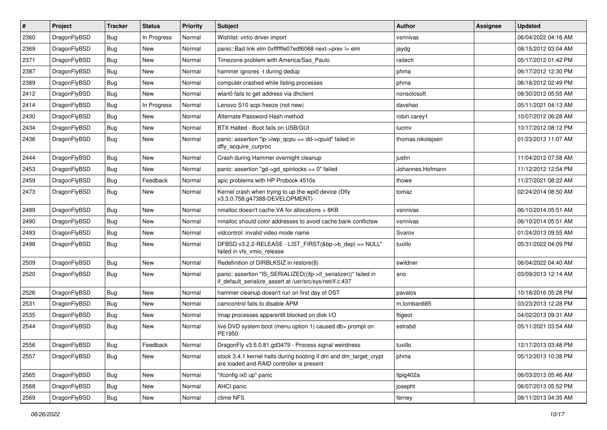| $\vert$ # | Project      | <b>Tracker</b> | <b>Status</b> | <b>Priority</b> | Subject                                                                                                                      | <b>Author</b>     | Assignee | <b>Updated</b>      |
|-----------|--------------|----------------|---------------|-----------------|------------------------------------------------------------------------------------------------------------------------------|-------------------|----------|---------------------|
| 2360      | DragonFlyBSD | <b>Bug</b>     | In Progress   | Normal          | Wishlist: virtio driver import                                                                                               | vsrinivas         |          | 06/04/2022 04:16 AM |
| 2369      | DragonFlyBSD | <b>Bug</b>     | <b>New</b>    | Normal          | panic: Bad link elm 0xffffffe07edf6068 next->prev != elm                                                                     | jaydg             |          | 08/15/2012 03:04 AM |
| 2371      | DragonFlyBSD | <b>Bug</b>     | <b>New</b>    | Normal          | Timezone problem with America/Sao_Paulo                                                                                      | raitech           |          | 05/17/2012 01:42 PM |
| 2387      | DragonFlyBSD | <b>Bug</b>     | New           | Normal          | hammer ignores -t during dedup                                                                                               | phma              |          | 06/17/2012 12:30 PM |
| 2389      | DragonFlyBSD | <b>Bug</b>     | <b>New</b>    | Normal          | computer crashed while listing processes                                                                                     | phma              |          | 06/18/2012 02:49 PM |
| 2412      | DragonFlyBSD | <b>Bug</b>     | New           | Normal          | wlan0 fails to get address via dhclient                                                                                      | nonsolosoft       |          | 08/30/2012 05:55 AM |
| 2414      | DragonFlyBSD | <b>Bug</b>     | In Progress   | Normal          | Lenovo S10 acpi freeze (not new)                                                                                             | davshao           |          | 05/11/2021 04:13 AM |
| 2430      | DragonFlyBSD | <b>Bug</b>     | New           | Normal          | Alternate Password Hash method                                                                                               | robin.carey1      |          | 10/07/2012 06:28 AM |
| 2434      | DragonFlyBSD | <b>Bug</b>     | <b>New</b>    | Normal          | BTX Halted - Boot fails on USB/GUI                                                                                           | lucmv             |          | 10/17/2012 08:12 PM |
| 2436      | DragonFlyBSD | <b>Bug</b>     | <b>New</b>    | Normal          | panic: assertion "lp->lwp_qcpu == dd->cpuid" failed in<br>dfly_acquire_curproc                                               | thomas.nikolajsen |          | 01/23/2013 11:07 AM |
| 2444      | DragonFlyBSD | Bug            | <b>New</b>    | Normal          | Crash during Hammer overnight cleanup                                                                                        | justin            |          | 11/04/2012 07:58 AM |
| 2453      | DragonFlyBSD | <b>Bug</b>     | <b>New</b>    | Normal          | panic: assertion "gd->gd spinlocks == $0$ " failed                                                                           | Johannes.Hofmann  |          | 11/12/2012 12:54 PM |
| 2459      | DragonFlyBSD | <b>Bug</b>     | Feedback      | Normal          | apic problems with HP Probook 4510s                                                                                          | thowe             |          | 11/27/2021 08:22 AM |
| 2473      | DragonFlyBSD | Bug            | New           | Normal          | Kernel crash when trying to up the wpi0 device (Dfly<br>v3.3.0.758.g47388-DEVELOPMENT)                                       | tomaz             |          | 02/24/2014 08:50 AM |
| 2489      | DragonFlyBSD | <b>Bug</b>     | <b>New</b>    | Normal          | nmalloc doesn't cache VA for allocations > 8KB                                                                               | vsrinivas         |          | 06/10/2014 05:51 AM |
| 2490      | DragonFlyBSD | Bug            | <b>New</b>    | Normal          | nmalloc should color addresses to avoid cache bank conflictsw                                                                | vsrinivas         |          | 06/10/2014 05:51 AM |
| 2493      | DragonFlyBSD | <b>Bug</b>     | <b>New</b>    | Normal          | vidcontrol: invalid video mode name                                                                                          | Svarov            |          | 01/24/2013 09:55 AM |
| 2498      | DragonFlyBSD | Bug            | New           | Normal          | DFBSD v3.2.2-RELEASE - LIST_FIRST(&bp->b_dep) == NULL"<br>failed in vfs_vmio_release                                         | tuxillo           |          | 05/31/2022 04:09 PM |
| 2509      | DragonFlyBSD | Bug            | <b>New</b>    | Normal          | Redefinition of DIRBLKSIZ in restore(8)                                                                                      | swildner          |          | 06/04/2022 04:40 AM |
| 2520      | DragonFlyBSD | Bug            | New           | Normal          | panic: assertion "IS_SERIALIZED((ifp->if_serializer))" failed in<br>if_default_serialize_assert at /usr/src/sys/net/if.c:437 | ano               |          | 03/09/2013 12:14 AM |
| 2526      | DragonFlyBSD | Bug            | <b>New</b>    | Normal          | hammer cleanup doesn't run on first day of DST                                                                               | pavalos           |          | 10/18/2016 05:28 PM |
| 2531      | DragonFlyBSD | Bug            | <b>New</b>    | Normal          | camcontrol fails to disable APM                                                                                              | m.lombardi85      |          | 03/23/2013 12:28 PM |
| 2535      | DragonFlyBSD | <b>Bug</b>     | <b>New</b>    | Normal          | Imap processes apparentlt blocked on disk I/O                                                                                | ftigeot           |          | 04/02/2013 09:31 AM |
| 2544      | DragonFlyBSD | <b>Bug</b>     | New           | Normal          | live DVD system boot (menu option 1) caused db> prompt on<br>PE1950                                                          | estrabd           |          | 05/11/2021 03:54 AM |
| 2556      | DragonFlyBSD | <b>Bug</b>     | Feedback      | Normal          | DragonFly v3.5.0.81.gd3479 - Process signal weirdness                                                                        | tuxillo           |          | 12/17/2013 03:48 PM |
| 2557      | DragonFlyBSD | Bug            | New           | Normal          | stock 3.4.1 kernel halts during booting if dm and dm_target_crypt<br>are loaded and RAID controller is present               | phma              |          | 05/12/2013 10:38 PM |
| 2565      | DragonFlyBSD | <b>Bug</b>     | New           | Normal          | "ifconfig ix0 up" panic                                                                                                      | ltpig402a         |          | 06/03/2013 05:46 AM |
| 2568      | DragonFlyBSD | Bug            | New           | Normal          | <b>AHCI</b> panic                                                                                                            | josepht           |          | 06/07/2013 05:52 PM |
| 2569      | DragonFlyBSD | <b>Bug</b>     | New           | Normal          | ctime NFS                                                                                                                    | ferney            |          | 08/11/2013 04:35 AM |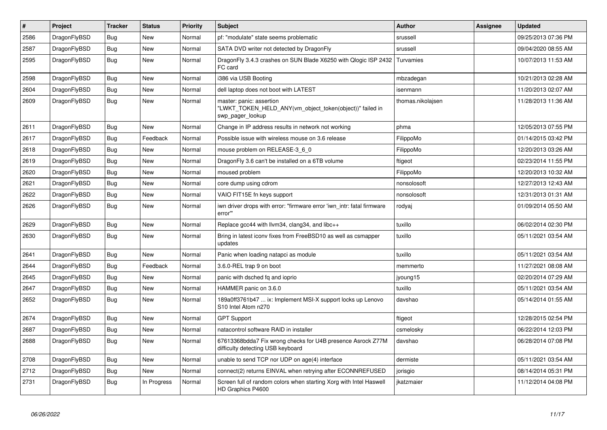| $\vert$ # | Project      | <b>Tracker</b> | <b>Status</b> | <b>Priority</b> | <b>Subject</b>                                                                                           | <b>Author</b>     | Assignee | <b>Updated</b>      |
|-----------|--------------|----------------|---------------|-----------------|----------------------------------------------------------------------------------------------------------|-------------------|----------|---------------------|
| 2586      | DragonFlyBSD | Bug            | New           | Normal          | pf: "modulate" state seems problematic                                                                   | srussell          |          | 09/25/2013 07:36 PM |
| 2587      | DragonFlyBSD | <b>Bug</b>     | <b>New</b>    | Normal          | SATA DVD writer not detected by DragonFly                                                                | srussell          |          | 09/04/2020 08:55 AM |
| 2595      | DragonFlyBSD | Bug            | New           | Normal          | Dragon Fly 3.4.3 crashes on SUN Blade X6250 with Qlogic ISP 2432<br>FC card                              | Turvamies         |          | 10/07/2013 11:53 AM |
| 2598      | DragonFlyBSD | <b>Bug</b>     | <b>New</b>    | Normal          | i386 via USB Booting                                                                                     | mbzadegan         |          | 10/21/2013 02:28 AM |
| 2604      | DragonFlyBSD | <b>Bug</b>     | <b>New</b>    | Normal          | dell laptop does not boot with LATEST                                                                    | isenmann          |          | 11/20/2013 02:07 AM |
| 2609      | DragonFlyBSD | Bug            | <b>New</b>    | Normal          | master: panic: assertion<br>"LWKT_TOKEN_HELD_ANY(vm_object_token(object))" failed in<br>swp_pager_lookup | thomas.nikolajsen |          | 11/28/2013 11:36 AM |
| 2611      | DragonFlyBSD | Bug            | <b>New</b>    | Normal          | Change in IP address results in network not working                                                      | phma              |          | 12/05/2013 07:55 PM |
| 2617      | DragonFlyBSD | Bug            | Feedback      | Normal          | Possible issue with wireless mouse on 3.6 release                                                        | FilippoMo         |          | 01/14/2015 03:42 PM |
| 2618      | DragonFlyBSD | <b>Bug</b>     | <b>New</b>    | Normal          | mouse problem on RELEASE-3 6 0                                                                           | FilippoMo         |          | 12/20/2013 03:26 AM |
| 2619      | DragonFlyBSD | Bug            | <b>New</b>    | Normal          | Dragon Fly 3.6 can't be installed on a 6TB volume                                                        | ftigeot           |          | 02/23/2014 11:55 PM |
| 2620      | DragonFlyBSD | <b>Bug</b>     | New           | Normal          | moused problem                                                                                           | FilippoMo         |          | 12/20/2013 10:32 AM |
| 2621      | DragonFlyBSD | <b>Bug</b>     | <b>New</b>    | Normal          | core dump using cdrom                                                                                    | nonsolosoft       |          | 12/27/2013 12:43 AM |
| 2622      | DragonFlyBSD | Bug            | <b>New</b>    | Normal          | VAIO FIT15E fn keys support                                                                              | nonsolosoft       |          | 12/31/2013 01:31 AM |
| 2626      | DragonFlyBSD | Bug            | <b>New</b>    | Normal          | iwn driver drops with error: "firmware error 'iwn_intr: fatal firmware<br>error"                         | rodyaj            |          | 01/09/2014 05:50 AM |
| 2629      | DragonFlyBSD | <b>Bug</b>     | <b>New</b>    | Normal          | Replace gcc44 with llvm34, clang34, and libc++                                                           | tuxillo           |          | 06/02/2014 02:30 PM |
| 2630      | DragonFlyBSD | Bug            | <b>New</b>    | Normal          | Bring in latest iconv fixes from FreeBSD10 as well as csmapper<br>updates                                | tuxillo           |          | 05/11/2021 03:54 AM |
| 2641      | DragonFlyBSD | <b>Bug</b>     | <b>New</b>    | Normal          | Panic when loading natapci as module                                                                     | tuxillo           |          | 05/11/2021 03:54 AM |
| 2644      | DragonFlyBSD | <b>Bug</b>     | Feedback      | Normal          | 3.6.0-REL trap 9 on boot                                                                                 | memmerto          |          | 11/27/2021 08:08 AM |
| 2645      | DragonFlyBSD | Bug            | New           | Normal          | panic with dsched fq and ioprio                                                                          | jyoung15          |          | 02/20/2014 07:29 AM |
| 2647      | DragonFlyBSD | <b>Bug</b>     | <b>New</b>    | Normal          | HAMMER panic on 3.6.0                                                                                    | tuxillo           |          | 05/11/2021 03:54 AM |
| 2652      | DragonFlyBSD | <b>Bug</b>     | New           | Normal          | 189a0ff3761b47  ix: Implement MSI-X support locks up Lenovo<br>S10 Intel Atom n270                       | davshao           |          | 05/14/2014 01:55 AM |
| 2674      | DragonFlyBSD | Bug            | New           | Normal          | <b>GPT Support</b>                                                                                       | ftigeot           |          | 12/28/2015 02:54 PM |
| 2687      | DragonFlyBSD | <b>Bug</b>     | New           | Normal          | natacontrol software RAID in installer                                                                   | csmelosky         |          | 06/22/2014 12:03 PM |
| 2688      | DragonFlyBSD | Bug            | New           | Normal          | 67613368bdda7 Fix wrong checks for U4B presence Asrock Z77M<br>difficulty detecting USB keyboard         | davshao           |          | 06/28/2014 07:08 PM |
| 2708      | DragonFlyBSD | <b>Bug</b>     | <b>New</b>    | Normal          | unable to send TCP nor UDP on age(4) interface                                                           | dermiste          |          | 05/11/2021 03:54 AM |
| 2712      | DragonFlyBSD | Bug            | New           | Normal          | connect(2) returns EINVAL when retrying after ECONNREFUSED                                               | jorisgio          |          | 08/14/2014 05:31 PM |
| 2731      | DragonFlyBSD | <b>Bug</b>     | In Progress   | Normal          | Screen full of random colors when starting Xorg with Intel Haswell<br>HD Graphics P4600                  | jkatzmaier        |          | 11/12/2014 04:08 PM |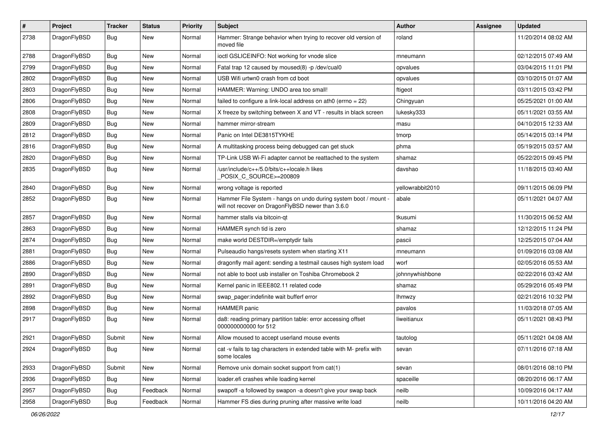| $\#$ | Project      | <b>Tracker</b> | <b>Status</b> | <b>Priority</b> | Subject                                                                                                              | <b>Author</b>    | Assignee | <b>Updated</b>      |
|------|--------------|----------------|---------------|-----------------|----------------------------------------------------------------------------------------------------------------------|------------------|----------|---------------------|
| 2738 | DragonFlyBSD | Bug            | New           | Normal          | Hammer: Strange behavior when trying to recover old version of<br>moved file                                         | roland           |          | 11/20/2014 08:02 AM |
| 2788 | DragonFlyBSD | Bug            | <b>New</b>    | Normal          | ioctl GSLICEINFO: Not working for vnode slice                                                                        | mneumann         |          | 02/12/2015 07:49 AM |
| 2799 | DragonFlyBSD | <b>Bug</b>     | New           | Normal          | Fatal trap 12 caused by moused(8) -p/dev/cual0                                                                       | opvalues         |          | 03/04/2015 11:01 PM |
| 2802 | DragonFlyBSD | Bug            | <b>New</b>    | Normal          | USB Wifi urtwn0 crash from cd boot                                                                                   | opvalues         |          | 03/10/2015 01:07 AM |
| 2803 | DragonFlyBSD | <b>Bug</b>     | <b>New</b>    | Normal          | HAMMER: Warning: UNDO area too small!                                                                                | ftigeot          |          | 03/11/2015 03:42 PM |
| 2806 | DragonFlyBSD | Bug            | <b>New</b>    | Normal          | failed to configure a link-local address on ath $0$ (errno = 22)                                                     | Chingyuan        |          | 05/25/2021 01:00 AM |
| 2808 | DragonFlyBSD | <b>Bug</b>     | <b>New</b>    | Normal          | X freeze by switching between X and VT - results in black screen                                                     | lukesky333       |          | 05/11/2021 03:55 AM |
| 2809 | DragonFlyBSD | <b>Bug</b>     | <b>New</b>    | Normal          | hammer mirror-stream                                                                                                 | masu             |          | 04/10/2015 12:33 AM |
| 2812 | DragonFlyBSD | Bug            | <b>New</b>    | Normal          | Panic on Intel DE3815TYKHE                                                                                           | tmorp            |          | 05/14/2015 03:14 PM |
| 2816 | DragonFlyBSD | <b>Bug</b>     | <b>New</b>    | Normal          | A multitasking process being debugged can get stuck                                                                  | phma             |          | 05/19/2015 03:57 AM |
| 2820 | DragonFlyBSD | <b>Bug</b>     | New           | Normal          | TP-Link USB Wi-Fi adapter cannot be reattached to the system                                                         | shamaz           |          | 05/22/2015 09:45 PM |
| 2835 | DragonFlyBSD | <b>Bug</b>     | <b>New</b>    | Normal          | /usr/include/c++/5.0/bits/c++locale.h likes<br>POSIX C_SOURCE>=200809                                                | davshao          |          | 11/18/2015 03:40 AM |
| 2840 | DragonFlyBSD | <b>Bug</b>     | <b>New</b>    | Normal          | wrong voltage is reported                                                                                            | yellowrabbit2010 |          | 09/11/2015 06:09 PM |
| 2852 | DragonFlyBSD | <b>Bug</b>     | New           | Normal          | Hammer File System - hangs on undo during system boot / mount -<br>will not recover on DragonFlyBSD newer than 3.6.0 | abale            |          | 05/11/2021 04:07 AM |
| 2857 | DragonFlyBSD | <b>Bug</b>     | <b>New</b>    | Normal          | hammer stalls via bitcoin-qt                                                                                         | tkusumi          |          | 11/30/2015 06:52 AM |
| 2863 | DragonFlyBSD | <b>Bug</b>     | <b>New</b>    | Normal          | HAMMER synch tid is zero                                                                                             | shamaz           |          | 12/12/2015 11:24 PM |
| 2874 | DragonFlyBSD | <b>Bug</b>     | New           | Normal          | make world DESTDIR=/emptydir fails                                                                                   | pascii           |          | 12/25/2015 07:04 AM |
| 2881 | DragonFlyBSD | <b>Bug</b>     | <b>New</b>    | Normal          | Pulseaudio hangs/resets system when starting X11                                                                     | mneumann         |          | 01/09/2016 03:08 AM |
| 2886 | DragonFlyBSD | <b>Bug</b>     | New           | Normal          | dragonfly mail agent: sending a testmail causes high system load                                                     | worf             |          | 02/05/2016 05:53 AM |
| 2890 | DragonFlyBSD | <b>Bug</b>     | <b>New</b>    | Normal          | not able to boot usb installer on Toshiba Chromebook 2                                                               | johnnywhishbone  |          | 02/22/2016 03:42 AM |
| 2891 | DragonFlyBSD | <b>Bug</b>     | New           | Normal          | Kernel panic in IEEE802.11 related code                                                                              | shamaz           |          | 05/29/2016 05:49 PM |
| 2892 | DragonFlyBSD | <b>Bug</b>     | <b>New</b>    | Normal          | swap_pager:indefinite wait bufferf error                                                                             | lhmwzy           |          | 02/21/2016 10:32 PM |
| 2898 | DragonFlyBSD | <b>Bug</b>     | <b>New</b>    | Normal          | <b>HAMMER</b> panic                                                                                                  | pavalos          |          | 11/03/2018 07:05 AM |
| 2917 | DragonFlyBSD | <b>Bug</b>     | New           | Normal          | da8: reading primary partition table: error accessing offset<br>000000000000 for 512                                 | liweitianux      |          | 05/11/2021 08:43 PM |
| 2921 | DragonFlyBSD | Submit         | <b>New</b>    | Normal          | Allow moused to accept userland mouse events                                                                         | tautolog         |          | 05/11/2021 04:08 AM |
| 2924 | DragonFlyBSD | <b>Bug</b>     | New           | Normal          | cat -v fails to tag characters in extended table with M- prefix with<br>some locales                                 | sevan            |          | 07/11/2016 07:18 AM |
| 2933 | DragonFlyBSD | Submit         | New           | Normal          | Remove unix domain socket support from cat(1)                                                                        | sevan            |          | 08/01/2016 08:10 PM |
| 2936 | DragonFlyBSD | <b>Bug</b>     | New           | Normal          | loader.efi crashes while loading kernel                                                                              | spaceille        |          | 08/20/2016 06:17 AM |
| 2957 | DragonFlyBSD | Bug            | Feedback      | Normal          | swapoff -a followed by swapon -a doesn't give your swap back                                                         | neilb            |          | 10/09/2016 04:17 AM |
| 2958 | DragonFlyBSD | <b>Bug</b>     | Feedback      | Normal          | Hammer FS dies during pruning after massive write load                                                               | neilb            |          | 10/11/2016 04:20 AM |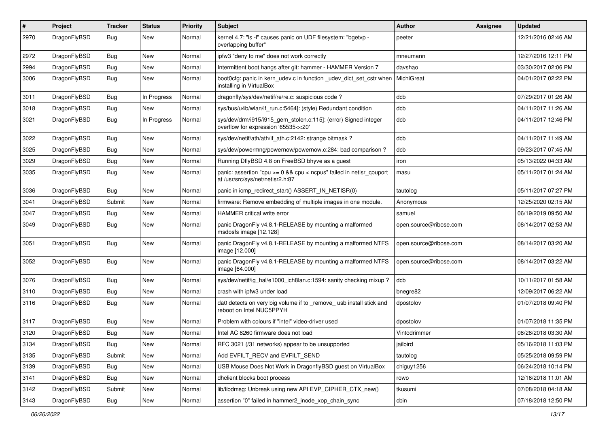| #    | Project      | <b>Tracker</b> | <b>Status</b> | <b>Priority</b> | <b>Subject</b>                                                                                            | <b>Author</b>          | Assignee | <b>Updated</b>      |
|------|--------------|----------------|---------------|-----------------|-----------------------------------------------------------------------------------------------------------|------------------------|----------|---------------------|
| 2970 | DragonFlyBSD | Bug            | <b>New</b>    | Normal          | kernel 4.7: "Is -I" causes panic on UDF filesystem: "bgetvp -<br>overlapping buffer"                      | peeter                 |          | 12/21/2016 02:46 AM |
| 2972 | DragonFlyBSD | <b>Bug</b>     | <b>New</b>    | Normal          | ipfw3 "deny to me" does not work correctly                                                                | mneumann               |          | 12/27/2016 12:11 PM |
| 2994 | DragonFlyBSD | <b>Bug</b>     | New           | Normal          | Intermittent boot hangs after git: hammer - HAMMER Version 7                                              | davshao                |          | 03/30/2017 02:06 PM |
| 3006 | DragonFlyBSD | Bug            | <b>New</b>    | Normal          | boot0cfg: panic in kern_udev.c in function _udev_dict_set_cstr when<br>installing in VirtualBox           | MichiGreat             |          | 04/01/2017 02:22 PM |
| 3011 | DragonFlyBSD | Bug            | In Progress   | Normal          | dragonfly/sys/dev/netif/re/re.c: suspicious code ?                                                        | dcb                    |          | 07/29/2017 01:26 AM |
| 3018 | DragonFlyBSD | Bug            | New           | Normal          | sys/bus/u4b/wlan/if_run.c:5464]: (style) Redundant condition                                              | dcb                    |          | 04/11/2017 11:26 AM |
| 3021 | DragonFlyBSD | <b>Bug</b>     | In Progress   | Normal          | sys/dev/drm/i915/i915_gem_stolen.c:115]: (error) Signed integer<br>overflow for expression '65535<<20'    | dcb                    |          | 04/11/2017 12:46 PM |
| 3022 | DragonFlyBSD | <b>Bug</b>     | <b>New</b>    | Normal          | sys/dev/netif/ath/ath/if ath.c:2142: strange bitmask?                                                     | dcb                    |          | 04/11/2017 11:49 AM |
| 3025 | DragonFlyBSD | <b>Bug</b>     | New           | Normal          | sys/dev/powermng/powernow/powernow.c:284: bad comparison?                                                 | dcb                    |          | 09/23/2017 07:45 AM |
| 3029 | DragonFlyBSD | <b>Bug</b>     | <b>New</b>    | Normal          | Running DflyBSD 4.8 on FreeBSD bhyve as a guest                                                           | iron                   |          | 05/13/2022 04:33 AM |
| 3035 | DragonFlyBSD | Bug            | <b>New</b>    | Normal          | panic: assertion "cpu $>= 0$ && cpu < ncpus" failed in netisr cpuport<br>at /usr/src/sys/net/netisr2.h:87 | masu                   |          | 05/11/2017 01:24 AM |
| 3036 | DragonFlyBSD | Bug            | <b>New</b>    | Normal          | panic in icmp_redirect_start() ASSERT_IN_NETISR(0)                                                        | tautolog               |          | 05/11/2017 07:27 PM |
| 3041 | DragonFlyBSD | Submit         | New           | Normal          | firmware: Remove embedding of multiple images in one module.                                              | Anonymous              |          | 12/25/2020 02:15 AM |
| 3047 | DragonFlyBSD | Bug            | <b>New</b>    | Normal          | HAMMER critical write error                                                                               | samuel                 |          | 06/19/2019 09:50 AM |
| 3049 | DragonFlyBSD | <b>Bug</b>     | <b>New</b>    | Normal          | panic DragonFly v4.8.1-RELEASE by mounting a malformed<br>msdosfs image [12.128]                          | open.source@ribose.com |          | 08/14/2017 02:53 AM |
| 3051 | DragonFlyBSD | Bug            | <b>New</b>    | Normal          | panic DragonFly v4.8.1-RELEASE by mounting a malformed NTFS<br>image [12.000]                             | open.source@ribose.com |          | 08/14/2017 03:20 AM |
| 3052 | DragonFlyBSD | Bug            | <b>New</b>    | Normal          | panic DragonFly v4.8.1-RELEASE by mounting a malformed NTFS<br>image [64.000]                             | open.source@ribose.com |          | 08/14/2017 03:22 AM |
| 3076 | DragonFlyBSD | Bug            | <b>New</b>    | Normal          | sys/dev/netif/ig_hal/e1000_ich8lan.c:1594: sanity checking mixup?                                         | dcb                    |          | 10/11/2017 01:58 AM |
| 3110 | DragonFlyBSD | <b>Bug</b>     | <b>New</b>    | Normal          | crash with ipfw3 under load                                                                               | bnegre82               |          | 12/09/2017 06:22 AM |
| 3116 | DragonFlyBSD | <b>Bug</b>     | <b>New</b>    | Normal          | da0 detects on very big volume if to _remove_ usb install stick and<br>reboot on Intel NUC5PPYH           | dpostolov              |          | 01/07/2018 09:40 PM |
| 3117 | DragonFlyBSD | Bug            | <b>New</b>    | Normal          | Problem with colours if "intel" video-driver used                                                         | dpostolov              |          | 01/07/2018 11:35 PM |
| 3120 | DragonFlyBSD | Bug            | New           | Normal          | Intel AC 8260 firmware does not load                                                                      | Vintodrimmer           |          | 08/28/2018 03:30 AM |
| 3134 | DragonFlyBSD | <b>Bug</b>     | New           | Normal          | RFC 3021 (/31 networks) appear to be unsupported                                                          | jailbird               |          | 05/16/2018 11:03 PM |
| 3135 | DragonFlyBSD | Submit         | New           | Normal          | Add EVFILT RECV and EVFILT SEND                                                                           | tautolog               |          | 05/25/2018 09:59 PM |
| 3139 | DragonFlyBSD | <b>Bug</b>     | New           | Normal          | USB Mouse Does Not Work in DragonflyBSD guest on VirtualBox                                               | chiguy1256             |          | 06/24/2018 10:14 PM |
| 3141 | DragonFlyBSD | Bug            | New           | Normal          | dhclient blocks boot process                                                                              | rowo                   |          | 12/16/2018 11:01 AM |
| 3142 | DragonFlyBSD | Submit         | New           | Normal          | lib/libdmsg: Unbreak using new API EVP_CIPHER_CTX_new()                                                   | tkusumi                |          | 07/08/2018 04:18 AM |
| 3143 | DragonFlyBSD | Bug            | New           | Normal          | assertion "0" failed in hammer2_inode_xop_chain_sync                                                      | cbin                   |          | 07/18/2018 12:50 PM |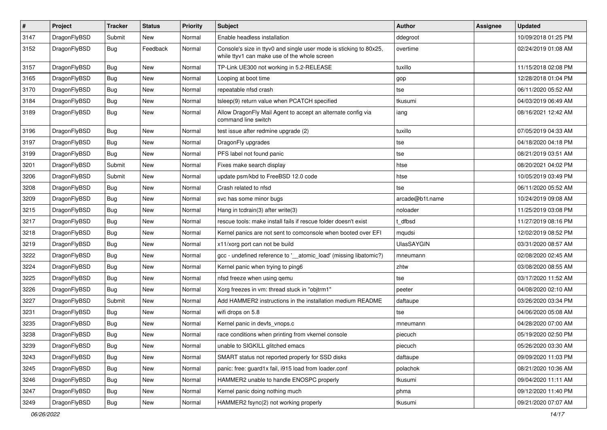| $\pmb{\#}$ | Project      | <b>Tracker</b> | <b>Status</b> | <b>Priority</b> | Subject                                                                                                            | Author            | Assignee | <b>Updated</b>      |
|------------|--------------|----------------|---------------|-----------------|--------------------------------------------------------------------------------------------------------------------|-------------------|----------|---------------------|
| 3147       | DragonFlyBSD | Submit         | New           | Normal          | Enable headless installation                                                                                       | ddegroot          |          | 10/09/2018 01:25 PM |
| 3152       | DragonFlyBSD | Bug            | Feedback      | Normal          | Console's size in ttyv0 and single user mode is sticking to 80x25,<br>while ttyv1 can make use of the whole screen | overtime          |          | 02/24/2019 01:08 AM |
| 3157       | DragonFlyBSD | Bug            | <b>New</b>    | Normal          | TP-Link UE300 not working in 5.2-RELEASE                                                                           | tuxillo           |          | 11/15/2018 02:08 PM |
| 3165       | DragonFlyBSD | Bug            | <b>New</b>    | Normal          | Looping at boot time                                                                                               | gop               |          | 12/28/2018 01:04 PM |
| 3170       | DragonFlyBSD | Bug            | New           | Normal          | repeatable nfsd crash                                                                                              | tse               |          | 06/11/2020 05:52 AM |
| 3184       | DragonFlyBSD | Bug            | <b>New</b>    | Normal          | tsleep(9) return value when PCATCH specified                                                                       | tkusumi           |          | 04/03/2019 06:49 AM |
| 3189       | DragonFlyBSD | Bug            | New           | Normal          | Allow DragonFly Mail Agent to accept an alternate config via<br>command line switch                                | iang              |          | 08/16/2021 12:42 AM |
| 3196       | DragonFlyBSD | Bug            | <b>New</b>    | Normal          | test issue after redmine upgrade (2)                                                                               | tuxillo           |          | 07/05/2019 04:33 AM |
| 3197       | DragonFlyBSD | Bug            | New           | Normal          | DragonFly upgrades                                                                                                 | tse               |          | 04/18/2020 04:18 PM |
| 3199       | DragonFlyBSD | Bug            | New           | Normal          | PFS label not found panic                                                                                          | tse               |          | 08/21/2019 03:51 AM |
| 3201       | DragonFlyBSD | Submit         | <b>New</b>    | Normal          | Fixes make search display                                                                                          | htse              |          | 08/20/2021 04:02 PM |
| 3206       | DragonFlyBSD | Submit         | New           | Normal          | update psm/kbd to FreeBSD 12.0 code                                                                                | htse              |          | 10/05/2019 03:49 PM |
| 3208       | DragonFlyBSD | Bug            | <b>New</b>    | Normal          | Crash related to nfsd                                                                                              | tse               |          | 06/11/2020 05:52 AM |
| 3209       | DragonFlyBSD | Bug            | <b>New</b>    | Normal          | svc has some minor bugs                                                                                            | arcade@b1t.name   |          | 10/24/2019 09:08 AM |
| 3215       | DragonFlyBSD | Bug            | <b>New</b>    | Normal          | Hang in todrain(3) after write(3)                                                                                  | noloader          |          | 11/25/2019 03:08 PM |
| 3217       | DragonFlyBSD | Bug            | <b>New</b>    | Normal          | rescue tools: make install fails if rescue folder doesn't exist                                                    | t_dfbsd           |          | 11/27/2019 08:16 PM |
| 3218       | DragonFlyBSD | Bug            | New           | Normal          | Kernel panics are not sent to comconsole when booted over EFI                                                      | mqudsi            |          | 12/02/2019 08:52 PM |
| 3219       | DragonFlyBSD | Bug            | <b>New</b>    | Normal          | x11/xorg port can not be build                                                                                     | <b>UlasSAYGIN</b> |          | 03/31/2020 08:57 AM |
| 3222       | DragonFlyBSD | Bug            | New           | Normal          | gcc - undefined reference to '__atomic_load' (missing libatomic?)                                                  | mneumann          |          | 02/08/2020 02:45 AM |
| 3224       | DragonFlyBSD | Bug            | <b>New</b>    | Normal          | Kernel panic when trying to ping6                                                                                  | zhtw              |          | 03/08/2020 08:55 AM |
| 3225       | DragonFlyBSD | Bug            | New           | Normal          | nfsd freeze when using qemu                                                                                        | tse               |          | 03/17/2020 11:52 AM |
| 3226       | DragonFlyBSD | Bug            | <b>New</b>    | Normal          | Xorg freezes in vm: thread stuck in "objtrm1"                                                                      | peeter            |          | 04/08/2020 02:10 AM |
| 3227       | DragonFlyBSD | Submit         | New           | Normal          | Add HAMMER2 instructions in the installation medium README                                                         | daftaupe          |          | 03/26/2020 03:34 PM |
| 3231       | DragonFlyBSD | <b>Bug</b>     | <b>New</b>    | Normal          | wifi drops on 5.8                                                                                                  | tse               |          | 04/06/2020 05:08 AM |
| 3235       | DragonFlyBSD | Bug            | New           | Normal          | Kernel panic in devfs_vnops.c                                                                                      | mneumann          |          | 04/28/2020 07:00 AM |
| 3238       | DragonFlyBSD | Bug            | New           | Normal          | race conditions when printing from vkernel console                                                                 | piecuch           |          | 05/19/2020 02:50 PM |
| 3239       | DragonFlyBSD | <b>Bug</b>     | New           | Normal          | unable to SIGKILL glitched emacs                                                                                   | piecuch           |          | 05/26/2020 03:30 AM |
| 3243       | DragonFlyBSD | <b>Bug</b>     | New           | Normal          | SMART status not reported properly for SSD disks                                                                   | daftaupe          |          | 09/09/2020 11:03 PM |
| 3245       | DragonFlyBSD | <b>Bug</b>     | New           | Normal          | panic: free: guard1x fail, i915 load from loader.conf                                                              | polachok          |          | 08/21/2020 10:36 AM |
| 3246       | DragonFlyBSD | Bug            | New           | Normal          | HAMMER2 unable to handle ENOSPC properly                                                                           | tkusumi           |          | 09/04/2020 11:11 AM |
| 3247       | DragonFlyBSD | <b>Bug</b>     | New           | Normal          | Kernel panic doing nothing much                                                                                    | phma              |          | 09/12/2020 11:40 PM |
| 3249       | DragonFlyBSD | <b>Bug</b>     | New           | Normal          | HAMMER2 fsync(2) not working properly                                                                              | tkusumi           |          | 09/21/2020 07:07 AM |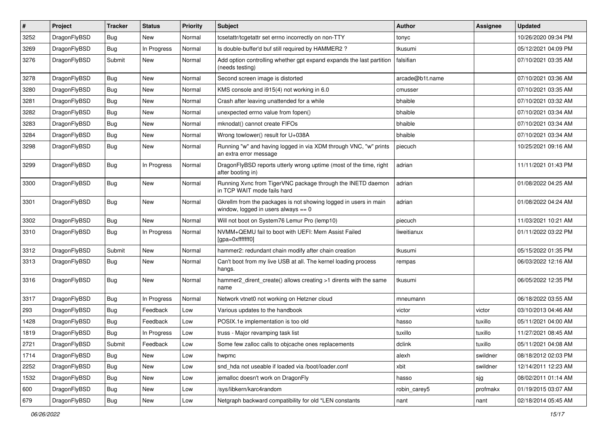| #    | Project      | <b>Tracker</b> | <b>Status</b> | <b>Priority</b> | <b>Subject</b>                                                                                            | <b>Author</b>   | Assignee | <b>Updated</b>      |
|------|--------------|----------------|---------------|-----------------|-----------------------------------------------------------------------------------------------------------|-----------------|----------|---------------------|
| 3252 | DragonFlyBSD | <b>Bug</b>     | <b>New</b>    | Normal          | tcsetattr/tcgetattr set errno incorrectly on non-TTY                                                      | tonyc           |          | 10/26/2020 09:34 PM |
| 3269 | DragonFlyBSD | Bug            | In Progress   | Normal          | Is double-buffer'd buf still required by HAMMER2 ?                                                        | tkusumi         |          | 05/12/2021 04:09 PM |
| 3276 | DragonFlyBSD | Submit         | New           | Normal          | Add option controlling whether gpt expand expands the last partition<br>(needs testing)                   | falsifian       |          | 07/10/2021 03:35 AM |
| 3278 | DragonFlyBSD | Bug            | <b>New</b>    | Normal          | Second screen image is distorted                                                                          | arcade@b1t.name |          | 07/10/2021 03:36 AM |
| 3280 | DragonFlyBSD | <b>Bug</b>     | <b>New</b>    | Normal          | KMS console and i915(4) not working in 6.0                                                                | cmusser         |          | 07/10/2021 03:35 AM |
| 3281 | DragonFlyBSD | <b>Bug</b>     | <b>New</b>    | Normal          | Crash after leaving unattended for a while                                                                | bhaible         |          | 07/10/2021 03:32 AM |
| 3282 | DragonFlyBSD | <b>Bug</b>     | New           | Normal          | unexpected errno value from fopen()                                                                       | bhaible         |          | 07/10/2021 03:34 AM |
| 3283 | DragonFlyBSD | Bug            | New           | Normal          | mknodat() cannot create FIFOs                                                                             | bhaible         |          | 07/10/2021 03:34 AM |
| 3284 | DragonFlyBSD | Bug            | <b>New</b>    | Normal          | Wrong towlower() result for U+038A                                                                        | bhaible         |          | 07/10/2021 03:34 AM |
| 3298 | DragonFlyBSD | <b>Bug</b>     | New           | Normal          | Running "w" and having logged in via XDM through VNC, "w" prints<br>an extra error message                | piecuch         |          | 10/25/2021 09:16 AM |
| 3299 | DragonFlyBSD | <b>Bug</b>     | In Progress   | Normal          | DragonFlyBSD reports utterly wrong uptime (most of the time, right<br>after booting in)                   | adrian          |          | 11/11/2021 01:43 PM |
| 3300 | DragonFlyBSD | <b>Bug</b>     | <b>New</b>    | Normal          | Running Xvnc from TigerVNC package through the INETD daemon<br>in TCP WAIT mode fails hard                | adrian          |          | 01/08/2022 04:25 AM |
| 3301 | DragonFlyBSD | Bug            | <b>New</b>    | Normal          | Gkrellm from the packages is not showing logged in users in main<br>window, logged in users always $== 0$ | adrian          |          | 01/08/2022 04:24 AM |
| 3302 | DragonFlyBSD | Bug            | <b>New</b>    | Normal          | Will not boot on System76 Lemur Pro (lemp10)                                                              | piecuch         |          | 11/03/2021 10:21 AM |
| 3310 | DragonFlyBSD | Bug            | In Progress   | Normal          | NVMM+QEMU fail to boot with UEFI: Mem Assist Failed<br>[gpa=0xfffffff0]                                   | liweitianux     |          | 01/11/2022 03:22 PM |
| 3312 | DragonFlyBSD | Submit         | New           | Normal          | hammer2: redundant chain modify after chain creation                                                      | tkusumi         |          | 05/15/2022 01:35 PM |
| 3313 | DragonFlyBSD | Bug            | <b>New</b>    | Normal          | Can't boot from my live USB at all. The kernel loading process<br>hangs.                                  | rempas          |          | 06/03/2022 12:16 AM |
| 3316 | DragonFlyBSD | Bug            | <b>New</b>    | Normal          | hammer2_dirent_create() allows creating >1 dirents with the same<br>name                                  | tkusumi         |          | 06/05/2022 12:35 PM |
| 3317 | DragonFlyBSD | Bug            | In Progress   | Normal          | Network vtnet0 not working on Hetzner cloud                                                               | mneumann        |          | 06/18/2022 03:55 AM |
| 293  | DragonFlyBSD | <b>Bug</b>     | Feedback      | Low             | Various updates to the handbook                                                                           | victor          | victor   | 03/10/2013 04:46 AM |
| 1428 | DragonFlyBSD | Bug            | Feedback      | Low             | POSIX.1e implementation is too old                                                                        | hasso           | tuxillo  | 05/11/2021 04:00 AM |
| 1819 | DragonFlyBSD | <b>Bug</b>     | In Progress   | Low             | truss - Major revamping task list                                                                         | tuxillo         | tuxillo  | 11/27/2021 08:45 AM |
| 2721 | DragonFlyBSD | Submit         | Feedback      | Low             | Some few zalloc calls to objcache ones replacements                                                       | dclink          | tuxillo  | 05/11/2021 04:08 AM |
| 1714 | DragonFlyBSD | Bug            | New           | Low             | hwpmc                                                                                                     | alexh           | swildner | 08/18/2012 02:03 PM |
| 2252 | DragonFlyBSD | <b>Bug</b>     | New           | Low             | snd hda not useable if loaded via /boot/loader.conf                                                       | xbit            | swildner | 12/14/2011 12:23 AM |
| 1532 | DragonFlyBSD | Bug            | New           | Low             | jemalloc doesn't work on DragonFly                                                                        | hasso           | sjg      | 08/02/2011 01:14 AM |
| 600  | DragonFlyBSD | Bug            | New           | Low             | /sys/libkern/karc4random                                                                                  | robin_carey5    | profmakx | 01/19/2015 03:07 AM |
| 679  | DragonFlyBSD | <b>Bug</b>     | New           | Low             | Netgraph backward compatibility for old *LEN constants                                                    | nant            | nant     | 02/18/2014 05:45 AM |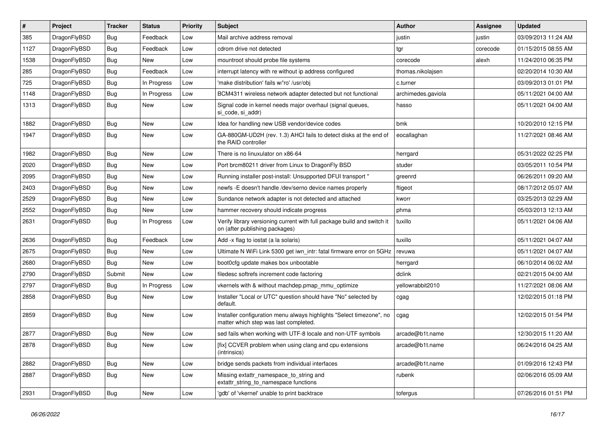| #    | Project      | <b>Tracker</b> | <b>Status</b> | <b>Priority</b> | <b>Subject</b>                                                                                                | <b>Author</b>      | <b>Assignee</b> | <b>Updated</b>      |
|------|--------------|----------------|---------------|-----------------|---------------------------------------------------------------------------------------------------------------|--------------------|-----------------|---------------------|
| 385  | DragonFlyBSD | <b>Bug</b>     | Feedback      | Low             | Mail archive address removal                                                                                  | justin             | justin          | 03/09/2013 11:24 AM |
| 1127 | DragonFlyBSD | <b>Bug</b>     | Feedback      | Low             | cdrom drive not detected                                                                                      | tgr                | corecode        | 01/15/2015 08:55 AM |
| 1538 | DragonFlyBSD | <b>Bug</b>     | New           | Low             | mountroot should probe file systems                                                                           | corecode           | alexh           | 11/24/2010 06:35 PM |
| 285  | DragonFlyBSD | <b>Bug</b>     | Feedback      | Low             | interrupt latency with re without ip address configured                                                       | thomas.nikolajsen  |                 | 02/20/2014 10:30 AM |
| 725  | DragonFlyBSD | <b>Bug</b>     | In Progress   | Low             | 'make distribution' fails w/'ro' /usr/obj                                                                     | c.turner           |                 | 03/09/2013 01:01 PM |
| 1148 | DragonFlyBSD | <b>Bug</b>     | In Progress   | Low             | BCM4311 wireless network adapter detected but not functional                                                  | archimedes.gaviola |                 | 05/11/2021 04:00 AM |
| 1313 | DragonFlyBSD | Bug            | New           | Low             | Signal code in kernel needs major overhaul (signal queues,<br>si code, si addr)                               | hasso              |                 | 05/11/2021 04:00 AM |
| 1882 | DragonFlyBSD | <b>Bug</b>     | New           | Low             | Idea for handling new USB vendor/device codes                                                                 | bmk                |                 | 10/20/2010 12:15 PM |
| 1947 | DragonFlyBSD | Bug            | New           | Low             | GA-880GM-UD2H (rev. 1.3) AHCI fails to detect disks at the end of<br>the RAID controller                      | eocallaghan        |                 | 11/27/2021 08:46 AM |
| 1982 | DragonFlyBSD | Bug            | New           | Low             | There is no linuxulator on x86-64                                                                             | herrgard           |                 | 05/31/2022 02:25 PM |
| 2020 | DragonFlyBSD | <b>Bug</b>     | New           | Low             | Port brcm80211 driver from Linux to DragonFly BSD                                                             | studer             |                 | 03/05/2011 10:54 PM |
| 2095 | DragonFlyBSD | <b>Bug</b>     | New           | Low             | Running installer post-install: Unsupported DFUI transport "                                                  | greenrd            |                 | 06/26/2011 09:20 AM |
| 2403 | DragonFlyBSD | <b>Bug</b>     | New           | Low             | newfs -E doesn't handle /dev/serno device names properly                                                      | ftigeot            |                 | 08/17/2012 05:07 AM |
| 2529 | DragonFlyBSD | Bug            | New           | Low             | Sundance network adapter is not detected and attached                                                         | kworr              |                 | 03/25/2013 02:29 AM |
| 2552 | DragonFlyBSD | Bug            | New           | Low             | hammer recovery should indicate progress                                                                      | phma               |                 | 05/03/2013 12:13 AM |
| 2631 | DragonFlyBSD | <b>Bug</b>     | In Progress   | Low             | Verify library versioning current with full package build and switch it<br>on (after publishing packages)     | tuxillo            |                 | 05/11/2021 04:06 AM |
| 2636 | DragonFlyBSD | Bug            | Feedback      | Low             | Add -x flag to iostat (a la solaris)                                                                          | tuxillo            |                 | 05/11/2021 04:07 AM |
| 2675 | DragonFlyBSD | <b>Bug</b>     | New           | Low             | Ultimate N WiFi Link 5300 get iwn_intr: fatal firmware error on 5GHz                                          | revuwa             |                 | 05/11/2021 04:07 AM |
| 2680 | DragonFlyBSD | Bug            | New           | Low             | boot0cfg update makes box unbootable                                                                          | herrgard           |                 | 06/10/2014 06:02 AM |
| 2790 | DragonFlyBSD | Submit         | New           | Low             | filedesc softrefs increment code factoring                                                                    | dclink             |                 | 02/21/2015 04:00 AM |
| 2797 | DragonFlyBSD | <b>Bug</b>     | In Progress   | Low             | vkernels with & without machdep.pmap_mmu_optimize                                                             | yellowrabbit2010   |                 | 11/27/2021 08:06 AM |
| 2858 | DragonFlyBSD | Bug            | New           | Low             | Installer "Local or UTC" question should have "No" selected by<br>default.                                    | cgag               |                 | 12/02/2015 01:18 PM |
| 2859 | DragonFlyBSD | Bug            | <b>New</b>    | Low             | Installer configuration menu always highlights "Select timezone", no<br>matter which step was last completed. | cgag               |                 | 12/02/2015 01:54 PM |
| 2877 | DragonFlyBSD | <b>Bug</b>     | New           | Low             | sed fails when working with UTF-8 locale and non-UTF symbols                                                  | arcade@b1t.name    |                 | 12/30/2015 11:20 AM |
| 2878 | DragonFlyBSD | <b>Bug</b>     | New           | Low             | [fix] CCVER problem when using clang and cpu extensions<br>(intrinsics)                                       | arcade@b1t.name    |                 | 06/24/2016 04:25 AM |
| 2882 | DragonFlyBSD | <b>Bug</b>     | New           | Low             | bridge sends packets from individual interfaces                                                               | arcade@b1t.name    |                 | 01/09/2016 12:43 PM |
| 2887 | DragonFlyBSD | <b>Bug</b>     | New           | Low             | Missing extattr_namespace_to_string and<br>extattr_string_to_namespace functions                              | rubenk             |                 | 02/06/2016 05:09 AM |
| 2931 | DragonFlyBSD | <b>Bug</b>     | New           | Low             | 'gdb' of 'vkernel' unable to print backtrace                                                                  | tofergus           |                 | 07/26/2016 01:51 PM |